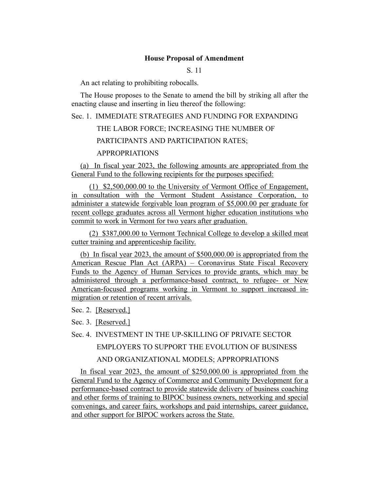#### **House Proposal of Amendment**

S. 11

An act relating to prohibiting robocalls.

The House proposes to the Senate to amend the bill by striking all after the enacting clause and inserting in lieu thereof the following:

Sec. 1. IMMEDIATE STRATEGIES AND FUNDING FOR EXPANDING

THE LABOR FORCE; INCREASING THE NUMBER OF

PARTICIPANTS AND PARTICIPATION RATES;

# APPROPRIATIONS

(a) In fiscal year 2023, the following amounts are appropriated from the General Fund to the following recipients for the purposes specified:

(1) \$2,500,000.00 to the University of Vermont Office of Engagement, in consultation with the Vermont Student Assistance Corporation, to administer a statewide forgivable loan program of \$5,000.00 per graduate for recent college graduates across all Vermont higher education institutions who commit to work in Vermont for two years after graduation.

(2) \$387,000.00 to Vermont Technical College to develop a skilled meat cutter training and apprenticeship facility.

(b) In fiscal year 2023, the amount of \$500,000.00 is appropriated from the American Rescue Plan Act (ARPA) – Coronavirus State Fiscal Recovery Funds to the Agency of Human Services to provide grants, which may be administered through a performance-based contract, to refugee- or New American-focused programs working in Vermont to support increased inmigration or retention of recent arrivals.

Sec. 2. [Reserved.]

Sec. 3. [Reserved.]

Sec. 4. INVESTMENT IN THE UP-SKILLING OF PRIVATE SECTOR EMPLOYERS TO SUPPORT THE EVOLUTION OF BUSINESS AND ORGANIZATIONAL MODELS; APPROPRIATIONS

In fiscal year 2023, the amount of \$250,000.00 is appropriated from the General Fund to the Agency of Commerce and Community Development for a performance-based contract to provide statewide delivery of business coaching and other forms of training to BIPOC business owners, networking and special convenings, and career fairs, workshops and paid internships, career guidance, and other support for BIPOC workers across the State.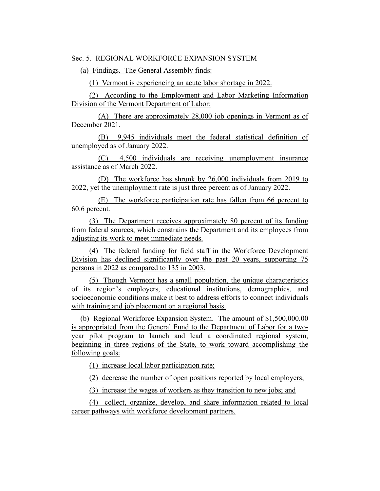Sec. 5. REGIONAL WORKFORCE EXPANSION SYSTEM

(a) Findings. The General Assembly finds:

(1) Vermont is experiencing an acute labor shortage in 2022.

(2) According to the Employment and Labor Marketing Information Division of the Vermont Department of Labor:

(A) There are approximately 28,000 job openings in Vermont as of December 2021.

(B) 9,945 individuals meet the federal statistical definition of unemployed as of January 2022.

(C) 4,500 individuals are receiving unemployment insurance assistance as of March 2022.

(D) The workforce has shrunk by 26,000 individuals from 2019 to 2022, yet the unemployment rate is just three percent as of January 2022.

(E) The workforce participation rate has fallen from 66 percent to 60.6 percent.

(3) The Department receives approximately 80 percent of its funding from federal sources, which constrains the Department and its employees from adjusting its work to meet immediate needs.

(4) The federal funding for field staff in the Workforce Development Division has declined significantly over the past 20 years, supporting 75 persons in 2022 as compared to 135 in 2003.

(5) Though Vermont has a small population, the unique characteristics of its region's employers, educational institutions, demographics, and socioeconomic conditions make it best to address efforts to connect individuals with training and job placement on a regional basis.

(b) Regional Workforce Expansion System. The amount of \$1,500,000.00 is appropriated from the General Fund to the Department of Labor for a twoyear pilot program to launch and lead a coordinated regional system, beginning in three regions of the State, to work toward accomplishing the following goals:

(1) increase local labor participation rate;

(2) decrease the number of open positions reported by local employers;

(3) increase the wages of workers as they transition to new jobs; and

(4) collect, organize, develop, and share information related to local career pathways with workforce development partners.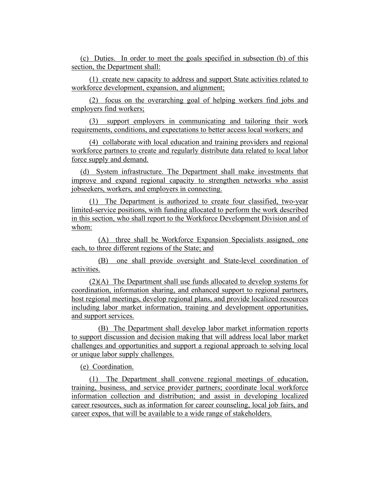(c) Duties. In order to meet the goals specified in subsection (b) of this section, the Department shall:

(1) create new capacity to address and support State activities related to workforce development, expansion, and alignment;

(2) focus on the overarching goal of helping workers find jobs and employers find workers;

(3) support employers in communicating and tailoring their work requirements, conditions, and expectations to better access local workers; and

(4) collaborate with local education and training providers and regional workforce partners to create and regularly distribute data related to local labor force supply and demand.

(d) System infrastructure. The Department shall make investments that improve and expand regional capacity to strengthen networks who assist jobseekers, workers, and employers in connecting.

(1) The Department is authorized to create four classified, two-year limited-service positions, with funding allocated to perform the work described in this section, who shall report to the Workforce Development Division and of whom:

(A) three shall be Workforce Expansion Specialists assigned, one each, to three different regions of the State; and

(B) one shall provide oversight and State-level coordination of activities.

(2)(A) The Department shall use funds allocated to develop systems for coordination, information sharing, and enhanced support to regional partners, host regional meetings, develop regional plans, and provide localized resources including labor market information, training and development opportunities, and support services.

(B) The Department shall develop labor market information reports to support discussion and decision making that will address local labor market challenges and opportunities and support a regional approach to solving local or unique labor supply challenges.

# (e) Coordination.

(1) The Department shall convene regional meetings of education, training, business, and service provider partners; coordinate local workforce information collection and distribution; and assist in developing localized career resources, such as information for career counseling, local job fairs, and career expos, that will be available to a wide range of stakeholders.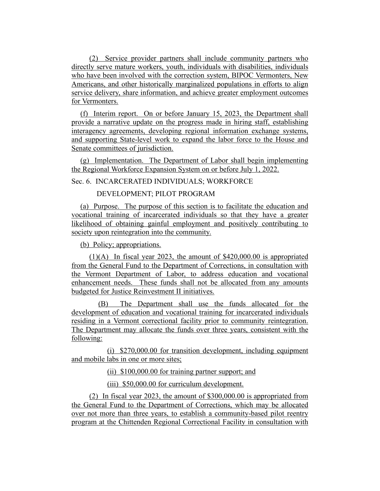(2) Service provider partners shall include community partners who directly serve mature workers, youth, individuals with disabilities, individuals who have been involved with the correction system, BIPOC Vermonters, New Americans, and other historically marginalized populations in efforts to align service delivery, share information, and achieve greater employment outcomes for Vermonters.

(f) Interim report. On or before January 15, 2023, the Department shall provide a narrative update on the progress made in hiring staff, establishing interagency agreements, developing regional information exchange systems, and supporting State-level work to expand the labor force to the House and Senate committees of jurisdiction.

(g) Implementation. The Department of Labor shall begin implementing the Regional Workforce Expansion System on or before July 1, 2022.

Sec. 6. INCARCERATED INDIVIDUALS; WORKFORCE

DEVELOPMENT; PILOT PROGRAM

(a) Purpose. The purpose of this section is to facilitate the education and vocational training of incarcerated individuals so that they have a greater likelihood of obtaining gainful employment and positively contributing to society upon reintegration into the community.

(b) Policy; appropriations.

(1)(A) In fiscal year 2023, the amount of \$420,000.00 is appropriated from the General Fund to the Department of Corrections, in consultation with the Vermont Department of Labor, to address education and vocational enhancement needs. These funds shall not be allocated from any amounts budgeted for Justice Reinvestment II initiatives.

(B) The Department shall use the funds allocated for the development of education and vocational training for incarcerated individuals residing in a Vermont correctional facility prior to community reintegration. The Department may allocate the funds over three years, consistent with the following:

(i) \$270,000.00 for transition development, including equipment and mobile labs in one or more sites;

(ii) \$100,000.00 for training partner support; and

(iii) \$50,000.00 for curriculum development.

(2) In fiscal year 2023, the amount of \$300,000.00 is appropriated from the General Fund to the Department of Corrections, which may be allocated over not more than three years, to establish a community-based pilot reentry program at the Chittenden Regional Correctional Facility in consultation with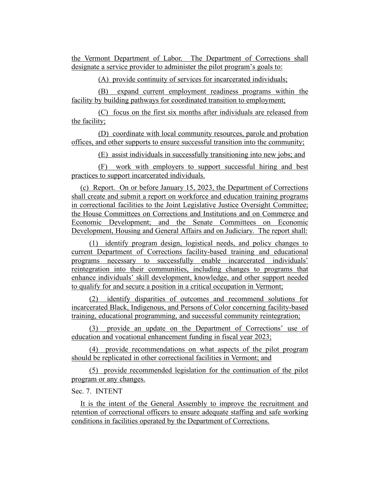the Vermont Department of Labor. The Department of Corrections shall designate a service provider to administer the pilot program's goals to:

(A) provide continuity of services for incarcerated individuals;

(B) expand current employment readiness programs within the facility by building pathways for coordinated transition to employment;

(C) focus on the first six months after individuals are released from the facility;

(D) coordinate with local community resources, parole and probation offices, and other supports to ensure successful transition into the community;

(E) assist individuals in successfully transitioning into new jobs; and

(F) work with employers to support successful hiring and best practices to support incarcerated individuals.

(c) Report. On or before January 15, 2023, the Department of Corrections shall create and submit a report on workforce and education training programs in correctional facilities to the Joint Legislative Justice Oversight Committee; the House Committees on Corrections and Institutions and on Commerce and Economic Development; and the Senate Committees on Economic Development, Housing and General Affairs and on Judiciary. The report shall:

(1) identify program design, logistical needs, and policy changes to current Department of Corrections facility-based training and educational programs necessary to successfully enable incarcerated individuals' reintegration into their communities, including changes to programs that enhance individuals' skill development, knowledge, and other support needed to qualify for and secure a position in a critical occupation in Vermont;

(2) identify disparities of outcomes and recommend solutions for incarcerated Black, Indigenous, and Persons of Color concerning facility-based training, educational programming, and successful community reintegration;

(3) provide an update on the Department of Corrections' use of education and vocational enhancement funding in fiscal year 2023;

(4) provide recommendations on what aspects of the pilot program should be replicated in other correctional facilities in Vermont; and

(5) provide recommended legislation for the continuation of the pilot program or any changes.

Sec. 7. INTENT

It is the intent of the General Assembly to improve the recruitment and retention of correctional officers to ensure adequate staffing and safe working conditions in facilities operated by the Department of Corrections.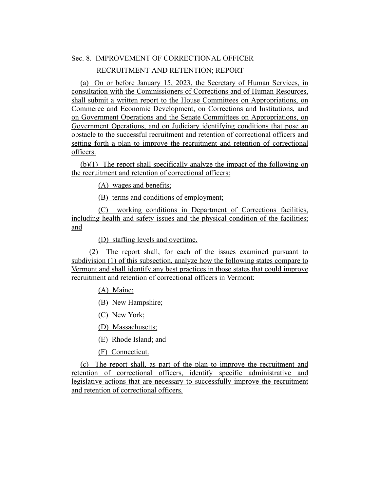# Sec. 8. IMPROVEMENT OF CORRECTIONAL OFFICER

#### RECRUITMENT AND RETENTION; REPORT

(a) On or before January 15, 2023, the Secretary of Human Services, in consultation with the Commissioners of Corrections and of Human Resources, shall submit a written report to the House Committees on Appropriations, on Commerce and Economic Development, on Corrections and Institutions, and on Government Operations and the Senate Committees on Appropriations, on Government Operations, and on Judiciary identifying conditions that pose an obstacle to the successful recruitment and retention of correctional officers and setting forth a plan to improve the recruitment and retention of correctional officers.

(b)(1) The report shall specifically analyze the impact of the following on the recruitment and retention of correctional officers:

(A) wages and benefits;

(B) terms and conditions of employment;

(C) working conditions in Department of Corrections facilities, including health and safety issues and the physical condition of the facilities; and

(D) staffing levels and overtime.

(2) The report shall, for each of the issues examined pursuant to subdivision (1) of this subsection, analyze how the following states compare to Vermont and shall identify any best practices in those states that could improve recruitment and retention of correctional officers in Vermont:

(A) Maine;

(B) New Hampshire;

(C) New York;

(D) Massachusetts;

(E) Rhode Island; and

(F) Connecticut.

(c) The report shall, as part of the plan to improve the recruitment and retention of correctional officers, identify specific administrative and legislative actions that are necessary to successfully improve the recruitment and retention of correctional officers.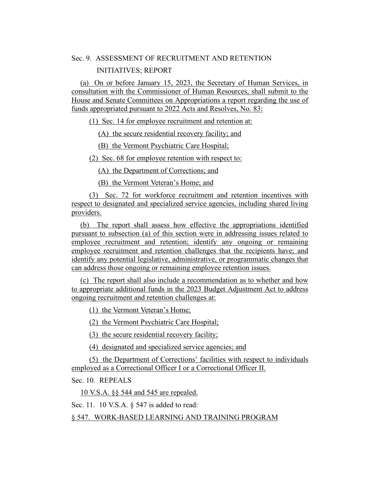# Sec. 9. ASSESSMENT OF RECRUITMENT AND RETENTION

#### INITIATIVES; REPORT

(a) On or before January 15, 2023, the Secretary of Human Services, in consultation with the Commissioner of Human Resources, shall submit to the House and Senate Committees on Appropriations a report regarding the use of funds appropriated pursuant to 2022 Acts and Resolves, No. 83:

(1) Sec. 14 for employee recruitment and retention at:

(A) the secure residential recovery facility; and

(B) the Vermont Psychiatric Care Hospital;

(2) Sec. 68 for employee retention with respect to:

(A) the Department of Corrections; and

(B) the Vermont Veteran's Home; and

(3) Sec. 72 for workforce recruitment and retention incentives with respect to designated and specialized service agencies, including shared living providers.

(b) The report shall assess how effective the appropriations identified pursuant to subsection (a) of this section were in addressing issues related to employee recruitment and retention; identify any ongoing or remaining employee recruitment and retention challenges that the recipients have; and identify any potential legislative, administrative, or programmatic changes that can address those ongoing or remaining employee retention issues.

(c) The report shall also include a recommendation as to whether and how to appropriate additional funds in the 2023 Budget Adjustment Act to address ongoing recruitment and retention challenges at:

(1) the Vermont Veteran's Home;

(2) the Vermont Psychiatric Care Hospital;

(3) the secure residential recovery facility;

(4) designated and specialized service agencies; and

(5) the Department of Corrections' facilities with respect to individuals employed as a Correctional Officer I or a Correctional Officer II.

Sec. 10. REPEALS

10 V.S.A. §§ 544 and 545 are repealed.

Sec. 11. 10 V.S.A. § 547 is added to read:

§ 547. WORK-BASED LEARNING AND TRAINING PROGRAM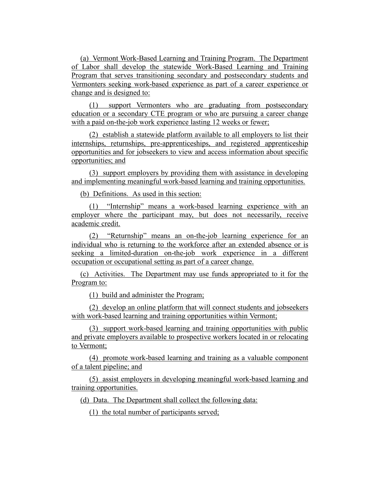(a) Vermont Work-Based Learning and Training Program. The Department of Labor shall develop the statewide Work-Based Learning and Training Program that serves transitioning secondary and postsecondary students and Vermonters seeking work-based experience as part of a career experience or change and is designed to:

(1) support Vermonters who are graduating from postsecondary education or a secondary CTE program or who are pursuing a career change with a paid on-the-job work experience lasting 12 weeks or fewer;

(2) establish a statewide platform available to all employers to list their internships, returnships, pre-apprenticeships, and registered apprenticeship opportunities and for jobseekers to view and access information about specific opportunities; and

(3) support employers by providing them with assistance in developing and implementing meaningful work-based learning and training opportunities.

(b) Definitions. As used in this section:

(1) "Internship" means a work-based learning experience with an employer where the participant may, but does not necessarily, receive academic credit.

(2) "Returnship" means an on-the-job learning experience for an individual who is returning to the workforce after an extended absence or is seeking a limited-duration on-the-job work experience in a different occupation or occupational setting as part of a career change.

(c) Activities. The Department may use funds appropriated to it for the Program to:

(1) build and administer the Program;

(2) develop an online platform that will connect students and jobseekers with work-based learning and training opportunities within Vermont;

(3) support work-based learning and training opportunities with public and private employers available to prospective workers located in or relocating to Vermont;

(4) promote work-based learning and training as a valuable component of a talent pipeline; and

(5) assist employers in developing meaningful work-based learning and training opportunities.

(d) Data. The Department shall collect the following data:

(1) the total number of participants served;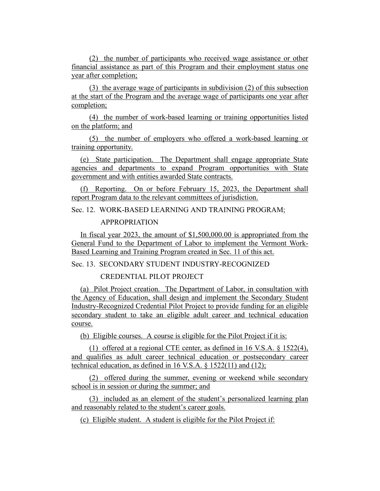(2) the number of participants who received wage assistance or other financial assistance as part of this Program and their employment status one year after completion;

(3) the average wage of participants in subdivision (2) of this subsection at the start of the Program and the average wage of participants one year after completion;

(4) the number of work-based learning or training opportunities listed on the platform; and

(5) the number of employers who offered a work-based learning or training opportunity.

(e) State participation. The Department shall engage appropriate State agencies and departments to expand Program opportunities with State government and with entities awarded State contracts.

(f) Reporting. On or before February 15, 2023, the Department shall report Program data to the relevant committees of jurisdiction.

Sec. 12. WORK-BASED LEARNING AND TRAINING PROGRAM;

APPROPRIATION

In fiscal year 2023, the amount of \$1,500,000.00 is appropriated from the General Fund to the Department of Labor to implement the Vermont Work-Based Learning and Training Program created in Sec. 11 of this act.

Sec. 13. SECONDARY STUDENT INDUSTRY-RECOGNIZED

CREDENTIAL PILOT PROJECT

(a) Pilot Project creation. The Department of Labor, in consultation with the Agency of Education, shall design and implement the Secondary Student Industry-Recognized Credential Pilot Project to provide funding for an eligible secondary student to take an eligible adult career and technical education course.

(b) Eligible courses. A course is eligible for the Pilot Project if it is:

(1) offered at a regional CTE center, as defined in 16 V.S.A. § 1522(4), and qualifies as adult career technical education or postsecondary career technical education, as defined in 16 V.S.A. § 1522(11) and (12);

(2) offered during the summer, evening or weekend while secondary school is in session or during the summer; and

(3) included as an element of the student's personalized learning plan and reasonably related to the student's career goals.

(c) Eligible student. A student is eligible for the Pilot Project if: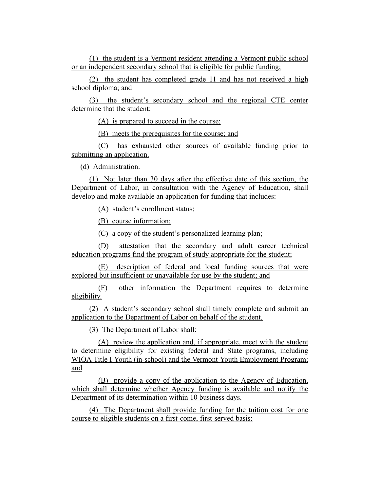(1) the student is a Vermont resident attending a Vermont public school or an independent secondary school that is eligible for public funding;

(2) the student has completed grade 11 and has not received a high school diploma; and

(3) the student's secondary school and the regional CTE center determine that the student:

(A) is prepared to succeed in the course;

(B) meets the prerequisites for the course; and

(C) has exhausted other sources of available funding prior to submitting an application.

(d) Administration.

(1) Not later than 30 days after the effective date of this section, the Department of Labor, in consultation with the Agency of Education, shall develop and make available an application for funding that includes:

(A) student's enrollment status;

(B) course information;

(C) a copy of the student's personalized learning plan;

(D) attestation that the secondary and adult career technical education programs find the program of study appropriate for the student;

(E) description of federal and local funding sources that were explored but insufficient or unavailable for use by the student; and

(F) other information the Department requires to determine eligibility.

(2) A student's secondary school shall timely complete and submit an application to the Department of Labor on behalf of the student.

(3) The Department of Labor shall:

(A) review the application and, if appropriate, meet with the student to determine eligibility for existing federal and State programs, including WIOA Title I Youth (in-school) and the Vermont Youth Employment Program; and

(B) provide a copy of the application to the Agency of Education, which shall determine whether Agency funding is available and notify the Department of its determination within 10 business days.

(4) The Department shall provide funding for the tuition cost for one course to eligible students on a first-come, first-served basis: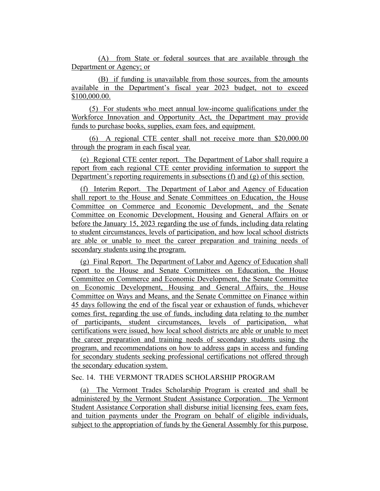(A) from State or federal sources that are available through the Department or Agency; or

(B) if funding is unavailable from those sources, from the amounts available in the Department's fiscal year 2023 budget, not to exceed \$100,000.00.

(5) For students who meet annual low-income qualifications under the Workforce Innovation and Opportunity Act, the Department may provide funds to purchase books, supplies, exam fees, and equipment.

(6) A regional CTE center shall not receive more than \$20,000.00 through the program in each fiscal year.

(e) Regional CTE center report. The Department of Labor shall require a report from each regional CTE center providing information to support the Department's reporting requirements in subsections (f) and (g) of this section.

(f) Interim Report. The Department of Labor and Agency of Education shall report to the House and Senate Committees on Education, the House Committee on Commerce and Economic Development, and the Senate Committee on Economic Development, Housing and General Affairs on or before the January 15, 2023 regarding the use of funds, including data relating to student circumstances, levels of participation, and how local school districts are able or unable to meet the career preparation and training needs of secondary students using the program.

(g) Final Report. The Department of Labor and Agency of Education shall report to the House and Senate Committees on Education, the House Committee on Commerce and Economic Development, the Senate Committee on Economic Development, Housing and General Affairs, the House Committee on Ways and Means, and the Senate Committee on Finance within 45 days following the end of the fiscal year or exhaustion of funds, whichever comes first, regarding the use of funds, including data relating to the number of participants, student circumstances, levels of participation, what certifications were issued, how local school districts are able or unable to meet the career preparation and training needs of secondary students using the program, and recommendations on how to address gaps in access and funding for secondary students seeking professional certifications not offered through the secondary education system.

## Sec. 14. THE VERMONT TRADES SCHOLARSHIP PROGRAM

(a) The Vermont Trades Scholarship Program is created and shall be administered by the Vermont Student Assistance Corporation. The Vermont Student Assistance Corporation shall disburse initial licensing fees, exam fees, and tuition payments under the Program on behalf of eligible individuals, subject to the appropriation of funds by the General Assembly for this purpose.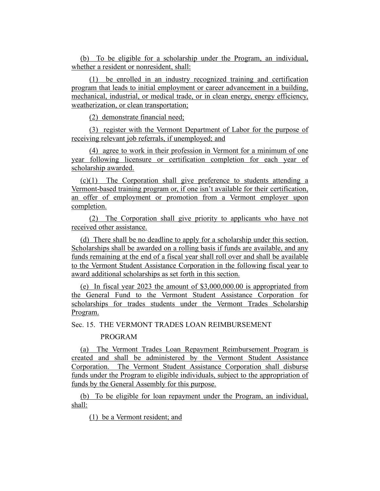(b) To be eligible for a scholarship under the Program, an individual, whether a resident or nonresident, shall:

(1) be enrolled in an industry recognized training and certification program that leads to initial employment or career advancement in a building, mechanical, industrial, or medical trade, or in clean energy, energy efficiency, weatherization, or clean transportation;

(2) demonstrate financial need;

(3) register with the Vermont Department of Labor for the purpose of receiving relevant job referrals, if unemployed; and

(4) agree to work in their profession in Vermont for a minimum of one year following licensure or certification completion for each year of scholarship awarded.

(c)(1) The Corporation shall give preference to students attending a Vermont-based training program or, if one isn't available for their certification, an offer of employment or promotion from a Vermont employer upon completion.

(2) The Corporation shall give priority to applicants who have not received other assistance.

(d) There shall be no deadline to apply for a scholarship under this section. Scholarships shall be awarded on a rolling basis if funds are available, and any funds remaining at the end of a fiscal year shall roll over and shall be available to the Vermont Student Assistance Corporation in the following fiscal year to award additional scholarships as set forth in this section.

(e) In fiscal year 2023 the amount of \$3,000,000.00 is appropriated from the General Fund to the Vermont Student Assistance Corporation for scholarships for trades students under the Vermont Trades Scholarship Program.

Sec. 15. THE VERMONT TRADES LOAN REIMBURSEMENT

#### PROGRAM

(a) The Vermont Trades Loan Repayment Reimbursement Program is created and shall be administered by the Vermont Student Assistance Corporation. The Vermont Student Assistance Corporation shall disburse funds under the Program to eligible individuals, subject to the appropriation of funds by the General Assembly for this purpose.

(b) To be eligible for loan repayment under the Program, an individual, shall:

(1) be a Vermont resident; and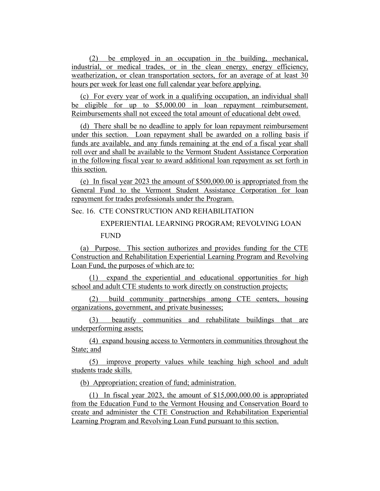(2) be employed in an occupation in the building, mechanical, industrial, or medical trades, or in the clean energy, energy efficiency, weatherization, or clean transportation sectors, for an average of at least 30 hours per week for least one full calendar year before applying.

(c) For every year of work in a qualifying occupation, an individual shall be eligible for up to \$5,000.00 in loan repayment reimbursement. Reimbursements shall not exceed the total amount of educational debt owed.

(d) There shall be no deadline to apply for loan repayment reimbursement under this section. Loan repayment shall be awarded on a rolling basis if funds are available, and any funds remaining at the end of a fiscal year shall roll over and shall be available to the Vermont Student Assistance Corporation in the following fiscal year to award additional loan repayment as set forth in this section.

(e) In fiscal year 2023 the amount of \$500,000.00 is appropriated from the General Fund to the Vermont Student Assistance Corporation for loan repayment for trades professionals under the Program.

Sec. 16. CTE CONSTRUCTION AND REHABILITATION

# EXPERIENTIAL LEARNING PROGRAM; REVOLVING LOAN FUND

(a) Purpose. This section authorizes and provides funding for the CTE Construction and Rehabilitation Experiential Learning Program and Revolving Loan Fund, the purposes of which are to:

(1) expand the experiential and educational opportunities for high school and adult CTE students to work directly on construction projects;

(2) build community partnerships among CTE centers, housing organizations, government, and private businesses;

(3) beautify communities and rehabilitate buildings that are underperforming assets;

(4) expand housing access to Vermonters in communities throughout the State; and

(5) improve property values while teaching high school and adult students trade skills.

(b) Appropriation; creation of fund; administration.

(1) In fiscal year 2023, the amount of \$15,000,000.00 is appropriated from the Education Fund to the Vermont Housing and Conservation Board to create and administer the CTE Construction and Rehabilitation Experiential Learning Program and Revolving Loan Fund pursuant to this section.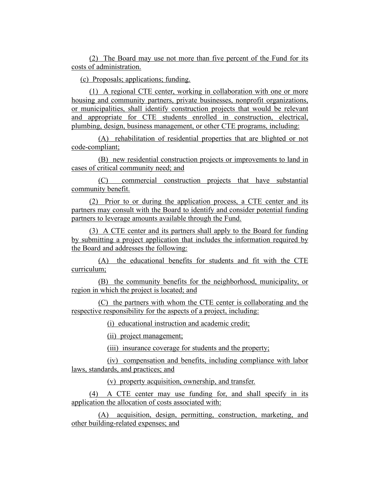(2) The Board may use not more than five percent of the Fund for its costs of administration.

(c) Proposals; applications; funding.

(1) A regional CTE center, working in collaboration with one or more housing and community partners, private businesses, nonprofit organizations, or municipalities, shall identify construction projects that would be relevant and appropriate for CTE students enrolled in construction, electrical, plumbing, design, business management, or other CTE programs, including:

(A) rehabilitation of residential properties that are blighted or not code-compliant;

(B) new residential construction projects or improvements to land in cases of critical community need; and

(C) commercial construction projects that have substantial community benefit.

(2) Prior to or during the application process, a CTE center and its partners may consult with the Board to identify and consider potential funding partners to leverage amounts available through the Fund.

(3) A CTE center and its partners shall apply to the Board for funding by submitting a project application that includes the information required by the Board and addresses the following:

(A) the educational benefits for students and fit with the CTE curriculum;

(B) the community benefits for the neighborhood, municipality, or region in which the project is located; and

(C) the partners with whom the CTE center is collaborating and the respective responsibility for the aspects of a project, including:

(i) educational instruction and academic credit;

(ii) project management;

(iii) insurance coverage for students and the property;

(iv) compensation and benefits, including compliance with labor laws, standards, and practices; and

(v) property acquisition, ownership, and transfer.

(4) A CTE center may use funding for, and shall specify in its application the allocation of costs associated with:

(A) acquisition, design, permitting, construction, marketing, and other building-related expenses; and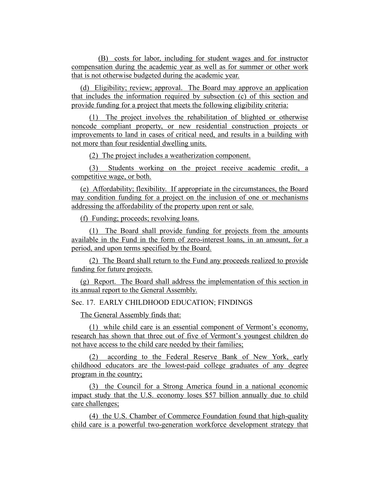(B) costs for labor, including for student wages and for instructor compensation during the academic year as well as for summer or other work that is not otherwise budgeted during the academic year.

(d) Eligibility; review; approval. The Board may approve an application that includes the information required by subsection (c) of this section and provide funding for a project that meets the following eligibility criteria:

(1) The project involves the rehabilitation of blighted or otherwise noncode compliant property, or new residential construction projects or improvements to land in cases of critical need, and results in a building with not more than four residential dwelling units.

(2) The project includes a weatherization component.

(3) Students working on the project receive academic credit, a competitive wage, or both.

(e) Affordability; flexibility. If appropriate in the circumstances, the Board may condition funding for a project on the inclusion of one or mechanisms addressing the affordability of the property upon rent or sale.

(f) Funding; proceeds; revolving loans.

(1) The Board shall provide funding for projects from the amounts available in the Fund in the form of zero-interest loans, in an amount, for a period, and upon terms specified by the Board.

(2) The Board shall return to the Fund any proceeds realized to provide funding for future projects.

(g) Report. The Board shall address the implementation of this section in its annual report to the General Assembly.

Sec. 17. EARLY CHILDHOOD EDUCATION; FINDINGS

The General Assembly finds that:

(1) while child care is an essential component of Vermont's economy, research has shown that three out of five of Vermont's youngest children do not have access to the child care needed by their families;

(2) according to the Federal Reserve Bank of New York, early childhood educators are the lowest-paid college graduates of any degree program in the country;

(3) the Council for a Strong America found in a national economic impact study that the U.S. economy loses \$57 billion annually due to child care challenges;

(4) the U.S. Chamber of Commerce Foundation found that high-quality child care is a powerful two-generation workforce development strategy that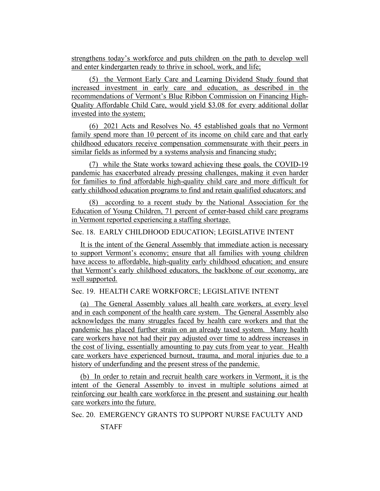strengthens today's workforce and puts children on the path to develop well and enter kindergarten ready to thrive in school, work, and life;

(5) the Vermont Early Care and Learning Dividend Study found that increased investment in early care and education, as described in the recommendations of Vermont's Blue Ribbon Commission on Financing High-Quality Affordable Child Care, would yield \$3.08 for every additional dollar invested into the system;

(6) 2021 Acts and Resolves No. 45 established goals that no Vermont family spend more than 10 percent of its income on child care and that early childhood educators receive compensation commensurate with their peers in similar fields as informed by a systems analysis and financing study;

(7) while the State works toward achieving these goals, the COVID-19 pandemic has exacerbated already pressing challenges, making it even harder for families to find affordable high-quality child care and more difficult for early childhood education programs to find and retain qualified educators; and

(8) according to a recent study by the National Association for the Education of Young Children, 71 percent of center-based child care programs in Vermont reported experiencing a staffing shortage.

# Sec. 18. EARLY CHILDHOOD EDUCATION; LEGISLATIVE INTENT

It is the intent of the General Assembly that immediate action is necessary to support Vermont's economy; ensure that all families with young children have access to affordable, high-quality early childhood education; and ensure that Vermont's early childhood educators, the backbone of our economy, are well supported.

#### Sec. 19. HEALTH CARE WORKFORCE; LEGISLATIVE INTENT

(a) The General Assembly values all health care workers, at every level and in each component of the health care system. The General Assembly also acknowledges the many struggles faced by health care workers and that the pandemic has placed further strain on an already taxed system. Many health care workers have not had their pay adjusted over time to address increases in the cost of living, essentially amounting to pay cuts from year to year. Health care workers have experienced burnout, trauma, and moral injuries due to a history of underfunding and the present stress of the pandemic.

(b) In order to retain and recruit health care workers in Vermont, it is the intent of the General Assembly to invest in multiple solutions aimed at reinforcing our health care workforce in the present and sustaining our health care workers into the future.

Sec. 20. EMERGENCY GRANTS TO SUPPORT NURSE FACULTY AND

#### STAFF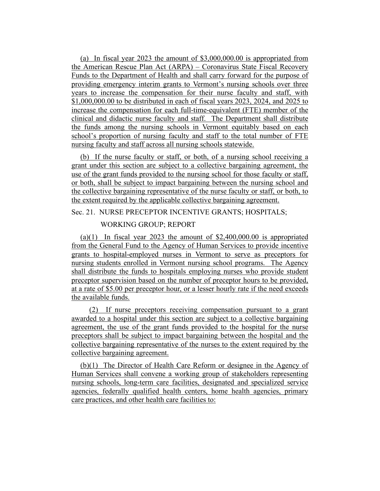(a) In fiscal year 2023 the amount of \$3,000,000.00 is appropriated from the American Rescue Plan Act (ARPA) – Coronavirus State Fiscal Recovery Funds to the Department of Health and shall carry forward for the purpose of providing emergency interim grants to Vermont's nursing schools over three years to increase the compensation for their nurse faculty and staff, with \$1,000,000.00 to be distributed in each of fiscal years 2023, 2024, and 2025 to increase the compensation for each full-time-equivalent (FTE) member of the clinical and didactic nurse faculty and staff. The Department shall distribute the funds among the nursing schools in Vermont equitably based on each school's proportion of nursing faculty and staff to the total number of FTE nursing faculty and staff across all nursing schools statewide.

(b) If the nurse faculty or staff, or both, of a nursing school receiving a grant under this section are subject to a collective bargaining agreement, the use of the grant funds provided to the nursing school for those faculty or staff, or both, shall be subject to impact bargaining between the nursing school and the collective bargaining representative of the nurse faculty or staff, or both, to the extent required by the applicable collective bargaining agreement.

# Sec. 21. NURSE PRECEPTOR INCENTIVE GRANTS; HOSPITALS;

#### WORKING GROUP; REPORT

(a)(1) In fiscal year 2023 the amount of  $$2,400,000.00$  is appropriated from the General Fund to the Agency of Human Services to provide incentive grants to hospital-employed nurses in Vermont to serve as preceptors for nursing students enrolled in Vermont nursing school programs. The Agency shall distribute the funds to hospitals employing nurses who provide student preceptor supervision based on the number of preceptor hours to be provided, at a rate of \$5.00 per preceptor hour, or a lesser hourly rate if the need exceeds the available funds.

(2) If nurse preceptors receiving compensation pursuant to a grant awarded to a hospital under this section are subject to a collective bargaining agreement, the use of the grant funds provided to the hospital for the nurse preceptors shall be subject to impact bargaining between the hospital and the collective bargaining representative of the nurses to the extent required by the collective bargaining agreement.

(b)(1) The Director of Health Care Reform or designee in the Agency of Human Services shall convene a working group of stakeholders representing nursing schools, long-term care facilities, designated and specialized service agencies, federally qualified health centers, home health agencies, primary care practices, and other health care facilities to: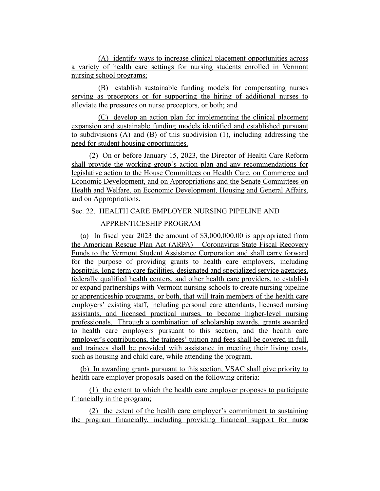(A) identify ways to increase clinical placement opportunities across a variety of health care settings for nursing students enrolled in Vermont nursing school programs;

(B) establish sustainable funding models for compensating nurses serving as preceptors or for supporting the hiring of additional nurses to alleviate the pressures on nurse preceptors, or both; and

(C) develop an action plan for implementing the clinical placement expansion and sustainable funding models identified and established pursuant to subdivisions (A) and (B) of this subdivision (1), including addressing the need for student housing opportunities.

(2) On or before January 15, 2023, the Director of Health Care Reform shall provide the working group's action plan and any recommendations for legislative action to the House Committees on Health Care, on Commerce and Economic Development, and on Appropriations and the Senate Committees on Health and Welfare, on Economic Development, Housing and General Affairs, and on Appropriations.

# Sec. 22. HEALTH CARE EMPLOYER NURSING PIPELINE AND

# APPRENTICESHIP PROGRAM

(a) In fiscal year 2023 the amount of \$3,000,000.00 is appropriated from the American Rescue Plan Act (ARPA) – Coronavirus State Fiscal Recovery Funds to the Vermont Student Assistance Corporation and shall carry forward for the purpose of providing grants to health care employers, including hospitals, long-term care facilities, designated and specialized service agencies, federally qualified health centers, and other health care providers, to establish or expand partnerships with Vermont nursing schools to create nursing pipeline or apprenticeship programs, or both, that will train members of the health care employers' existing staff, including personal care attendants, licensed nursing assistants, and licensed practical nurses, to become higher-level nursing professionals. Through a combination of scholarship awards, grants awarded to health care employers pursuant to this section, and the health care employer's contributions, the trainees' tuition and fees shall be covered in full, and trainees shall be provided with assistance in meeting their living costs, such as housing and child care, while attending the program.

(b) In awarding grants pursuant to this section, VSAC shall give priority to health care employer proposals based on the following criteria:

(1) the extent to which the health care employer proposes to participate financially in the program;

(2) the extent of the health care employer's commitment to sustaining the program financially, including providing financial support for nurse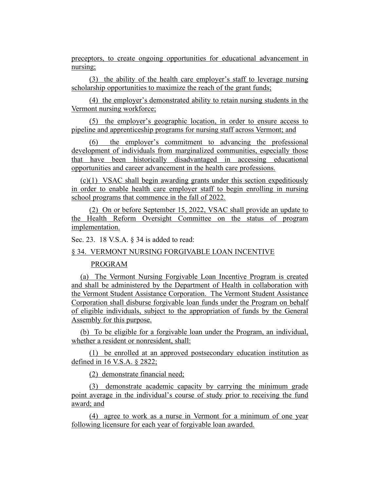preceptors, to create ongoing opportunities for educational advancement in nursing;

(3) the ability of the health care employer's staff to leverage nursing scholarship opportunities to maximize the reach of the grant funds;

(4) the employer's demonstrated ability to retain nursing students in the Vermont nursing workforce;

(5) the employer's geographic location, in order to ensure access to pipeline and apprenticeship programs for nursing staff across Vermont; and

(6) the employer's commitment to advancing the professional development of individuals from marginalized communities, especially those that have been historically disadvantaged in accessing educational opportunities and career advancement in the health care professions.

(c)(1) VSAC shall begin awarding grants under this section expeditiously in order to enable health care employer staff to begin enrolling in nursing school programs that commence in the fall of 2022.

(2) On or before September 15, 2022, VSAC shall provide an update to the Health Reform Oversight Committee on the status of program implementation.

Sec. 23. 18 V.S.A. § 34 is added to read:

§ 34. VERMONT NURSING FORGIVABLE LOAN INCENTIVE

# PROGRAM

(a) The Vermont Nursing Forgivable Loan Incentive Program is created and shall be administered by the Department of Health in collaboration with the Vermont Student Assistance Corporation. The Vermont Student Assistance Corporation shall disburse forgivable loan funds under the Program on behalf of eligible individuals, subject to the appropriation of funds by the General Assembly for this purpose.

(b) To be eligible for a forgivable loan under the Program, an individual, whether a resident or nonresident, shall:

(1) be enrolled at an approved postsecondary education institution as defined in 16 V.S.A. § 2822;

(2) demonstrate financial need;

(3) demonstrate academic capacity by carrying the minimum grade point average in the individual's course of study prior to receiving the fund award; and

(4) agree to work as a nurse in Vermont for a minimum of one year following licensure for each year of forgivable loan awarded.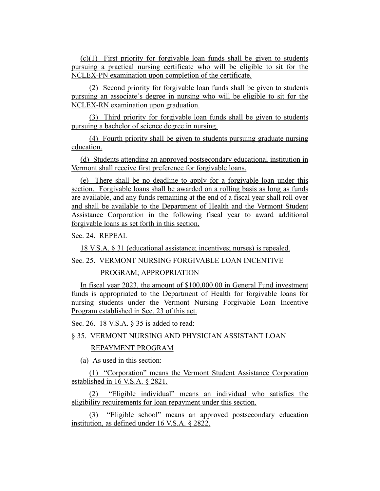(c)(1) First priority for forgivable loan funds shall be given to students pursuing a practical nursing certificate who will be eligible to sit for the NCLEX-PN examination upon completion of the certificate.

(2) Second priority for forgivable loan funds shall be given to students pursuing an associate's degree in nursing who will be eligible to sit for the NCLEX-RN examination upon graduation.

(3) Third priority for forgivable loan funds shall be given to students pursuing a bachelor of science degree in nursing.

(4) Fourth priority shall be given to students pursuing graduate nursing education.

(d) Students attending an approved postsecondary educational institution in Vermont shall receive first preference for forgivable loans.

(e) There shall be no deadline to apply for a forgivable loan under this section. Forgivable loans shall be awarded on a rolling basis as long as funds are available, and any funds remaining at the end of a fiscal year shall roll over and shall be available to the Department of Health and the Vermont Student Assistance Corporation in the following fiscal year to award additional forgivable loans as set forth in this section.

Sec. 24. REPEAL

18 V.S.A. § 31 (educational assistance; incentives; nurses) is repealed.

Sec. 25. VERMONT NURSING FORGIVABLE LOAN INCENTIVE

PROGRAM; APPROPRIATION

In fiscal year 2023, the amount of \$100,000.00 in General Fund investment funds is appropriated to the Department of Health for forgivable loans for nursing students under the Vermont Nursing Forgivable Loan Incentive Program established in Sec. 23 of this act.

Sec. 26. 18 V.S.A. § 35 is added to read:

# § 35. VERMONT NURSING AND PHYSICIAN ASSISTANT LOAN

#### REPAYMENT PROGRAM

(a) As used in this section:

(1) "Corporation" means the Vermont Student Assistance Corporation established in 16 V.S.A. § 2821.

(2) "Eligible individual" means an individual who satisfies the eligibility requirements for loan repayment under this section.

(3) "Eligible school" means an approved postsecondary education institution, as defined under 16 V.S.A. § 2822.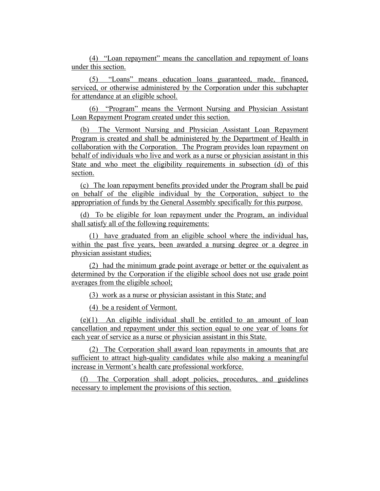(4) "Loan repayment" means the cancellation and repayment of loans under this section.

(5) "Loans" means education loans guaranteed, made, financed, serviced, or otherwise administered by the Corporation under this subchapter for attendance at an eligible school.

(6) "Program" means the Vermont Nursing and Physician Assistant Loan Repayment Program created under this section.

(b) The Vermont Nursing and Physician Assistant Loan Repayment Program is created and shall be administered by the Department of Health in collaboration with the Corporation. The Program provides loan repayment on behalf of individuals who live and work as a nurse or physician assistant in this State and who meet the eligibility requirements in subsection (d) of this section.

(c) The loan repayment benefits provided under the Program shall be paid on behalf of the eligible individual by the Corporation, subject to the appropriation of funds by the General Assembly specifically for this purpose.

(d) To be eligible for loan repayment under the Program, an individual shall satisfy all of the following requirements:

(1) have graduated from an eligible school where the individual has, within the past five years, been awarded a nursing degree or a degree in physician assistant studies;

(2) had the minimum grade point average or better or the equivalent as determined by the Corporation if the eligible school does not use grade point averages from the eligible school;

(3) work as a nurse or physician assistant in this State; and

(4) be a resident of Vermont.

(e)(1) An eligible individual shall be entitled to an amount of loan cancellation and repayment under this section equal to one year of loans for each year of service as a nurse or physician assistant in this State.

(2) The Corporation shall award loan repayments in amounts that are sufficient to attract high-quality candidates while also making a meaningful increase in Vermont's health care professional workforce.

(f) The Corporation shall adopt policies, procedures, and guidelines necessary to implement the provisions of this section.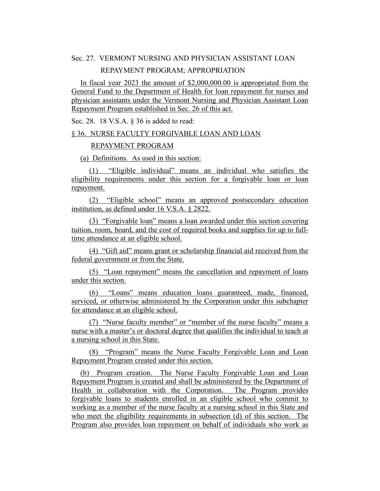# Sec. 27. VERMONT NURSING AND PHYSICIAN ASSISTANT LOAN

#### REPAYMENT PROGRAM; APPROPRIATION

In fiscal year 2023 the amount of \$2,000,000.00 is appropriated from the General Fund to the Department of Health for loan repayment for nurses and physician assistants under the Vermont Nursing and Physician Assistant Loan Repayment Program established in Sec. 26 of this act.

Sec. 28. 18 V.S.A. § 36 is added to read:

#### § 36. NURSE FACULTY FORGIVABLE LOAN AND LOAN

#### REPAYMENT PROGRAM

(a) Definitions. As used in this section:

(1) "Eligible individual" means an individual who satisfies the eligibility requirements under this section for a forgivable loan or loan repayment.

(2) "Eligible school" means an approved postsecondary education institution, as defined under 16 V.S.A. § 2822.

(3) "Forgivable loan" means a loan awarded under this section covering tuition, room, board, and the cost of required books and supplies for up to fulltime attendance at an eligible school.

(4) "Gift aid" means grant or scholarship financial aid received from the federal government or from the State.

(5) "Loan repayment" means the cancellation and repayment of loans under this section.

(6) "Loans" means education loans guaranteed, made, financed, serviced, or otherwise administered by the Corporation under this subchapter for attendance at an eligible school.

(7) "Nurse faculty member" or "member of the nurse faculty" means a nurse with a master's or doctoral degree that qualifies the individual to teach at a nursing school in this State.

(8) "Program" means the Nurse Faculty Forgivable Loan and Loan Repayment Program created under this section.

(b) Program creation. The Nurse Faculty Forgivable Loan and Loan Repayment Program is created and shall be administered by the Department of Health in collaboration with the Corporation. The Program provides forgivable loans to students enrolled in an eligible school who commit to working as a member of the nurse faculty at a nursing school in this State and who meet the eligibility requirements in subsection (d) of this section. The Program also provides loan repayment on behalf of individuals who work as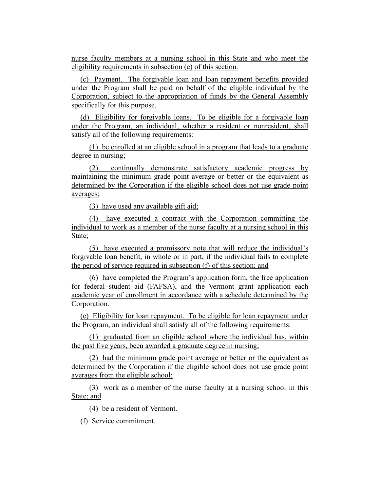nurse faculty members at a nursing school in this State and who meet the eligibility requirements in subsection (e) of this section.

(c) Payment. The forgivable loan and loan repayment benefits provided under the Program shall be paid on behalf of the eligible individual by the Corporation, subject to the appropriation of funds by the General Assembly specifically for this purpose.

(d) Eligibility for forgivable loans. To be eligible for a forgivable loan under the Program, an individual, whether a resident or nonresident, shall satisfy all of the following requirements:

(1) be enrolled at an eligible school in a program that leads to a graduate degree in nursing;

(2) continually demonstrate satisfactory academic progress by maintaining the minimum grade point average or better or the equivalent as determined by the Corporation if the eligible school does not use grade point averages;

(3) have used any available gift aid;

(4) have executed a contract with the Corporation committing the individual to work as a member of the nurse faculty at a nursing school in this State;

(5) have executed a promissory note that will reduce the individual's forgivable loan benefit, in whole or in part, if the individual fails to complete the period of service required in subsection (f) of this section; and

(6) have completed the Program's application form, the free application for federal student aid (FAFSA), and the Vermont grant application each academic year of enrollment in accordance with a schedule determined by the Corporation.

(e) Eligibility for loan repayment. To be eligible for loan repayment under the Program, an individual shall satisfy all of the following requirements:

(1) graduated from an eligible school where the individual has, within the past five years, been awarded a graduate degree in nursing;

(2) had the minimum grade point average or better or the equivalent as determined by the Corporation if the eligible school does not use grade point averages from the eligible school;

(3) work as a member of the nurse faculty at a nursing school in this State; and

(4) be a resident of Vermont.

(f) Service commitment.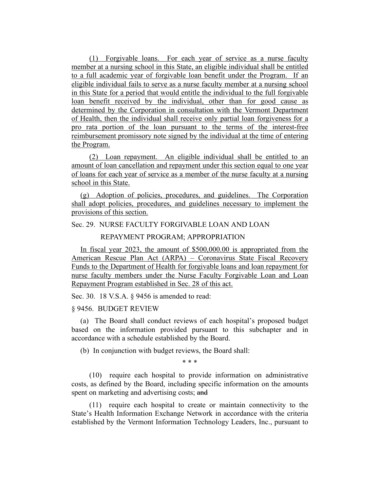(1) Forgivable loans. For each year of service as a nurse faculty member at a nursing school in this State, an eligible individual shall be entitled to a full academic year of forgivable loan benefit under the Program. If an eligible individual fails to serve as a nurse faculty member at a nursing school in this State for a period that would entitle the individual to the full forgivable loan benefit received by the individual, other than for good cause as determined by the Corporation in consultation with the Vermont Department of Health, then the individual shall receive only partial loan forgiveness for a pro rata portion of the loan pursuant to the terms of the interest-free reimbursement promissory note signed by the individual at the time of entering the Program.

(2) Loan repayment. An eligible individual shall be entitled to an amount of loan cancellation and repayment under this section equal to one year of loans for each year of service as a member of the nurse faculty at a nursing school in this State.

(g) Adoption of policies, procedures, and guidelines. The Corporation shall adopt policies, procedures, and guidelines necessary to implement the provisions of this section.

#### Sec. 29. NURSE FACULTY FORGIVABLE LOAN AND LOAN

#### REPAYMENT PROGRAM; APPROPRIATION

In fiscal year 2023, the amount of \$500,000.00 is appropriated from the American Rescue Plan Act (ARPA) – Coronavirus State Fiscal Recovery Funds to the Department of Health for forgivable loans and loan repayment for nurse faculty members under the Nurse Faculty Forgivable Loan and Loan Repayment Program established in Sec. 28 of this act.

Sec. 30. 18 V.S.A. § 9456 is amended to read:

#### § 9456. BUDGET REVIEW

(a) The Board shall conduct reviews of each hospital's proposed budget based on the information provided pursuant to this subchapter and in accordance with a schedule established by the Board.

(b) In conjunction with budget reviews, the Board shall:

\* \* \*

(10) require each hospital to provide information on administrative costs, as defined by the Board, including specific information on the amounts spent on marketing and advertising costs; and

(11) require each hospital to create or maintain connectivity to the State's Health Information Exchange Network in accordance with the criteria established by the Vermont Information Technology Leaders, Inc., pursuant to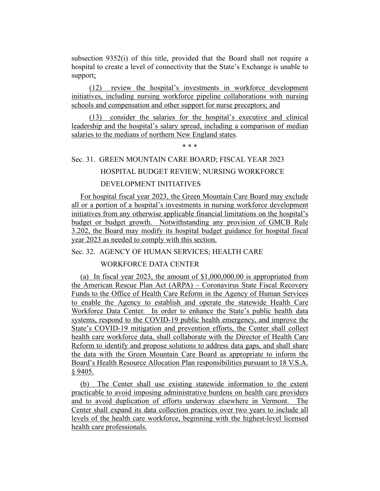subsection 9352(i) of this title, provided that the Board shall not require a hospital to create a level of connectivity that the State's Exchange is unable to support;

(12) review the hospital's investments in workforce development initiatives, including nursing workforce pipeline collaborations with nursing schools and compensation and other support for nurse preceptors; and

(13) consider the salaries for the hospital's executive and clinical leadership and the hospital's salary spread, including a comparison of median salaries to the medians of northern New England states.

\* \* \*

#### Sec. 31. GREEN MOUNTAIN CARE BOARD; FISCAL YEAR 2023

#### HOSPITAL BUDGET REVIEW; NURSING WORKFORCE

# DEVELOPMENT INITIATIVES

For hospital fiscal year 2023, the Green Mountain Care Board may exclude all or a portion of a hospital's investments in nursing workforce development initiatives from any otherwise applicable financial limitations on the hospital's budget or budget growth. Notwithstanding any provision of GMCB Rule 3.202, the Board may modify its hospital budget guidance for hospital fiscal year 2023 as needed to comply with this section.

#### Sec. 32. AGENCY OF HUMAN SERVICES; HEALTH CARE

#### WORKFORCE DATA CENTER

(a) In fiscal year 2023, the amount of \$1,000,000.00 is appropriated from the American Rescue Plan Act (ARPA) – Coronavirus State Fiscal Recovery Funds to the Office of Health Care Reform in the Agency of Human Services to enable the Agency to establish and operate the statewide Health Care Workforce Data Center. In order to enhance the State's public health data systems, respond to the COVID-19 public health emergency, and improve the State's COVID-19 mitigation and prevention efforts, the Center shall collect health care workforce data, shall collaborate with the Director of Health Care Reform to identify and propose solutions to address data gaps, and shall share the data with the Green Mountain Care Board as appropriate to inform the Board's Health Resource Allocation Plan responsibilities pursuant to 18 V.S.A. § 9405.

(b) The Center shall use existing statewide information to the extent practicable to avoid imposing administrative burdens on health care providers and to avoid duplication of efforts underway elsewhere in Vermont. The Center shall expand its data collection practices over two years to include all levels of the health care workforce, beginning with the highest-level licensed health care professionals.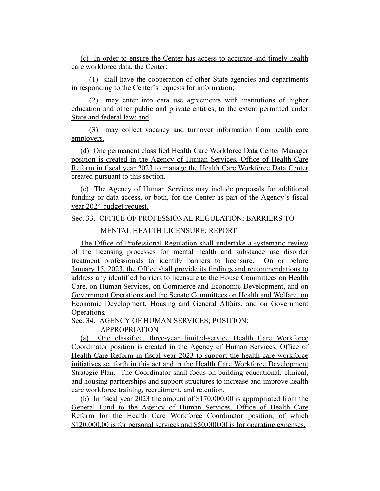(c) In order to ensure the Center has access to accurate and timely health care workforce data, the Center:

(1) shall have the cooperation of other State agencies and departments in responding to the Center's requests for information;

(2) may enter into data use agreements with institutions of higher education and other public and private entities, to the extent permitted under State and federal law; and

(3) may collect vacancy and turnover information from health care employers.

(d) One permanent classified Health Care Workforce Data Center Manager position is created in the Agency of Human Services, Office of Health Care Reform in fiscal year 2023 to manage the Health Care Workforce Data Center created pursuant to this section.

(e) The Agency of Human Services may include proposals for additional funding or data access, or both, for the Center as part of the Agency's fiscal year 2024 budget request.

Sec. 33. OFFICE OF PROFESSIONAL REGULATION; BARRIERS TO

MENTAL HEALTH LICENSURE; REPORT

The Office of Professional Regulation shall undertake a systematic review of the licensing processes for mental health and substance use disorder treatment professionals to identify barriers to licensure. On or before January 15, 2023, the Office shall provide its findings and recommendations to address any identified barriers to licensure to the House Committees on Health Care, on Human Services, on Commerce and Economic Development, and on Government Operations and the Senate Committees on Health and Welfare, on Economic Development, Housing and General Affairs, and on Government Operations.

Sec. 34. AGENCY OF HUMAN SERVICES; POSITION;

APPROPRIATION

(a) One classified, three-year limited-service Health Care Workforce Coordinator position is created in the Agency of Human Services, Office of Health Care Reform in fiscal year 2023 to support the health care workforce initiatives set forth in this act and in the Health Care Workforce Development Strategic Plan. The Coordinator shall focus on building educational, clinical, and housing partnerships and support structures to increase and improve health care workforce training, recruitment, and retention.

(b) In fiscal year 2023 the amount of \$170,000.00 is appropriated from the General Fund to the Agency of Human Services, Office of Health Care Reform for the Health Care Workforce Coordinator position, of which \$120,000.00 is for personal services and \$50,000.00 is for operating expenses.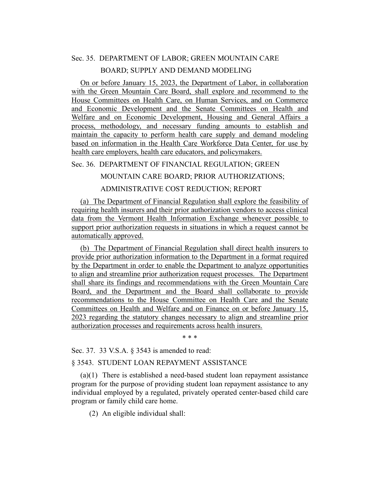# Sec. 35. DEPARTMENT OF LABOR; GREEN MOUNTAIN CARE

# BOARD; SUPPLY AND DEMAND MODELING

On or before January 15, 2023, the Department of Labor, in collaboration with the Green Mountain Care Board, shall explore and recommend to the House Committees on Health Care, on Human Services, and on Commerce and Economic Development and the Senate Committees on Health and Welfare and on Economic Development, Housing and General Affairs a process, methodology, and necessary funding amounts to establish and maintain the capacity to perform health care supply and demand modeling based on information in the Health Care Workforce Data Center, for use by health care employers, health care educators, and policymakers.

Sec. 36. DEPARTMENT OF FINANCIAL REGULATION; GREEN

MOUNTAIN CARE BOARD; PRIOR AUTHORIZATIONS;

# ADMINISTRATIVE COST REDUCTION; REPORT

(a) The Department of Financial Regulation shall explore the feasibility of requiring health insurers and their prior authorization vendors to access clinical data from the Vermont Health Information Exchange whenever possible to support prior authorization requests in situations in which a request cannot be automatically approved.

(b) The Department of Financial Regulation shall direct health insurers to provide prior authorization information to the Department in a format required by the Department in order to enable the Department to analyze opportunities to align and streamline prior authorization request processes. The Department shall share its findings and recommendations with the Green Mountain Care Board, and the Department and the Board shall collaborate to provide recommendations to the House Committee on Health Care and the Senate Committees on Health and Welfare and on Finance on or before January 15, 2023 regarding the statutory changes necessary to align and streamline prior authorization processes and requirements across health insurers.

\* \* \*

Sec. 37. 33 V.S.A. § 3543 is amended to read:

# § 3543. STUDENT LOAN REPAYMENT ASSISTANCE

(a)(1) There is established a need-based student loan repayment assistance program for the purpose of providing student loan repayment assistance to any individual employed by a regulated, privately operated center-based child care program or family child care home.

(2) An eligible individual shall: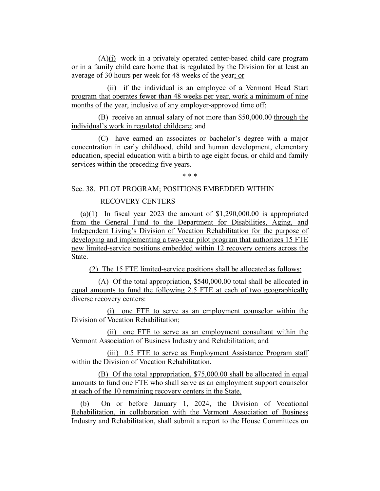(A)(i) work in a privately operated center-based child care program or in a family child care home that is regulated by the Division for at least an average of 30 hours per week for 48 weeks of the year; or

(ii) if the individual is an employee of a Vermont Head Start program that operates fewer than 48 weeks per year, work a minimum of nine months of the year, inclusive of any employer-approved time off;

(B) receive an annual salary of not more than \$50,000.00 through the individual's work in regulated childcare; and

(C) have earned an associates or bachelor's degree with a major concentration in early childhood, child and human development, elementary education, special education with a birth to age eight focus, or child and family services within the preceding five years.

\* \* \*

# Sec. 38. PILOT PROGRAM; POSITIONS EMBEDDED WITHIN

# RECOVERY CENTERS

(a)(1) In fiscal year 2023 the amount of  $$1,290,000.00$  is appropriated from the General Fund to the Department for Disabilities, Aging, and Independent Living's Division of Vocation Rehabilitation for the purpose of developing and implementing a two-year pilot program that authorizes 15 FTE new limited-service positions embedded within 12 recovery centers across the State.

(2) The 15 FTE limited-service positions shall be allocated as follows:

(A) Of the total appropriation, \$540,000.00 total shall be allocated in equal amounts to fund the following 2.5 FTE at each of two geographically diverse recovery centers:

(i) one FTE to serve as an employment counselor within the Division of Vocation Rehabilitation;

(ii) one FTE to serve as an employment consultant within the Vermont Association of Business Industry and Rehabilitation; and

(iii) 0.5 FTE to serve as Employment Assistance Program staff within the Division of Vocation Rehabilitation.

(B) Of the total appropriation, \$75,000.00 shall be allocated in equal amounts to fund one FTE who shall serve as an employment support counselor at each of the 10 remaining recovery centers in the State.

(b) On or before January 1, 2024, the Division of Vocational Rehabilitation, in collaboration with the Vermont Association of Business Industry and Rehabilitation, shall submit a report to the House Committees on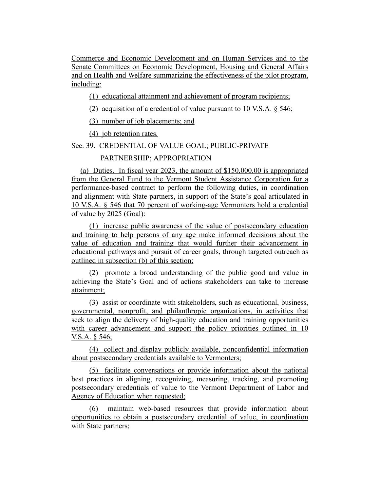Commerce and Economic Development and on Human Services and to the Senate Committees on Economic Development, Housing and General Affairs and on Health and Welfare summarizing the effectiveness of the pilot program, including:

(1) educational attainment and achievement of program recipients;

(2) acquisition of a credential of value pursuant to 10 V.S.A. § 546;

(3) number of job placements; and

(4) job retention rates.

Sec. 39. CREDENTIAL OF VALUE GOAL; PUBLIC-PRIVATE

PARTNERSHIP; APPROPRIATION

(a) Duties. In fiscal year 2023, the amount of \$150,000.00 is appropriated from the General Fund to the Vermont Student Assistance Corporation for a performance-based contract to perform the following duties, in coordination and alignment with State partners, in support of the State's goal articulated in 10 V.S.A. § 546 that 70 percent of working-age Vermonters hold a credential of value by 2025 (Goal):

(1) increase public awareness of the value of postsecondary education and training to help persons of any age make informed decisions about the value of education and training that would further their advancement in educational pathways and pursuit of career goals, through targeted outreach as outlined in subsection (b) of this section;

(2) promote a broad understanding of the public good and value in achieving the State's Goal and of actions stakeholders can take to increase attainment;

(3) assist or coordinate with stakeholders, such as educational, business, governmental, nonprofit, and philanthropic organizations, in activities that seek to align the delivery of high-quality education and training opportunities with career advancement and support the policy priorities outlined in 10 V.S.A. § 546;

(4) collect and display publicly available, nonconfidential information about postsecondary credentials available to Vermonters;

(5) facilitate conversations or provide information about the national best practices in aligning, recognizing, measuring, tracking, and promoting postsecondary credentials of value to the Vermont Department of Labor and Agency of Education when requested;

(6) maintain web-based resources that provide information about opportunities to obtain a postsecondary credential of value, in coordination with State partners;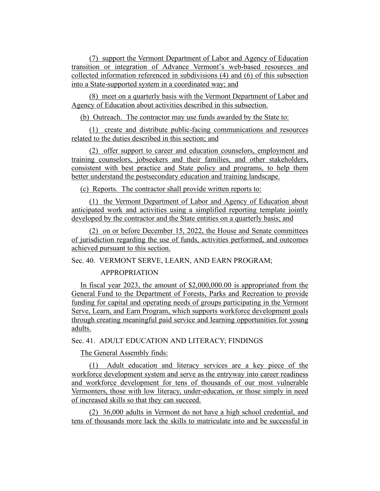(7) support the Vermont Department of Labor and Agency of Education transition or integration of Advance Vermont's web-based resources and collected information referenced in subdivisions (4) and (6) of this subsection into a State-supported system in a coordinated way; and

(8) meet on a quarterly basis with the Vermont Department of Labor and Agency of Education about activities described in this subsection.

(b) Outreach. The contractor may use funds awarded by the State to:

(1) create and distribute public-facing communications and resources related to the duties described in this section; and

(2) offer support to career and education counselors, employment and training counselors, jobseekers and their families, and other stakeholders, consistent with best practice and State policy and programs, to help them better understand the postsecondary education and training landscape.

(c) Reports. The contractor shall provide written reports to:

(1) the Vermont Department of Labor and Agency of Education about anticipated work and activities using a simplified reporting template jointly developed by the contractor and the State entities on a quarterly basis; and

(2) on or before December 15, 2022, the House and Senate committees of jurisdiction regarding the use of funds, activities performed, and outcomes achieved pursuant to this section.

Sec. 40. VERMONT SERVE, LEARN, AND EARN PROGRAM;

# APPROPRIATION

In fiscal year 2023, the amount of \$2,000,000.00 is appropriated from the General Fund to the Department of Forests, Parks and Recreation to provide funding for capital and operating needs of groups participating in the Vermont Serve, Learn, and Earn Program, which supports workforce development goals through creating meaningful paid service and learning opportunities for young adults.

Sec. 41. ADULT EDUCATION AND LITERACY; FINDINGS

The General Assembly finds:

(1) Adult education and literacy services are a key piece of the workforce development system and serve as the entryway into career readiness and workforce development for tens of thousands of our most vulnerable Vermonters, those with low literacy, under-education, or those simply in need of increased skills so that they can succeed.

(2) 36,000 adults in Vermont do not have a high school credential, and tens of thousands more lack the skills to matriculate into and be successful in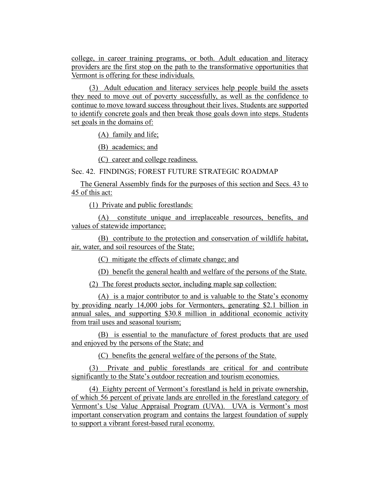college, in career training programs, or both. Adult education and literacy providers are the first stop on the path to the transformative opportunities that Vermont is offering for these individuals.

(3) Adult education and literacy services help people build the assets they need to move out of poverty successfully, as well as the confidence to continue to move toward success throughout their lives. Students are supported to identify concrete goals and then break those goals down into steps. Students set goals in the domains of:

(A) family and life;

(B) academics; and

(C) career and college readiness.

Sec. 42. FINDINGS; FOREST FUTURE STRATEGIC ROADMAP

The General Assembly finds for the purposes of this section and Secs. 43 to 45 of this act:

(1) Private and public forestlands:

(A) constitute unique and irreplaceable resources, benefits, and values of statewide importance;

(B) contribute to the protection and conservation of wildlife habitat, air, water, and soil resources of the State;

(C) mitigate the effects of climate change; and

(D) benefit the general health and welfare of the persons of the State.

(2) The forest products sector, including maple sap collection:

(A) is a major contributor to and is valuable to the State's economy by providing nearly 14,000 jobs for Vermonters, generating \$2.1 billion in annual sales, and supporting \$30.8 million in additional economic activity from trail uses and seasonal tourism;

(B) is essential to the manufacture of forest products that are used and enjoyed by the persons of the State; and

(C) benefits the general welfare of the persons of the State.

(3) Private and public forestlands are critical for and contribute significantly to the State's outdoor recreation and tourism economies.

(4) Eighty percent of Vermont's forestland is held in private ownership, of which 56 percent of private lands are enrolled in the forestland category of Vermont's Use Value Appraisal Program (UVA). UVA is Vermont's most important conservation program and contains the largest foundation of supply to support a vibrant forest-based rural economy.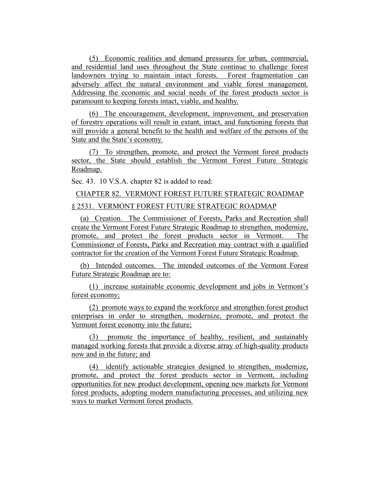(5) Economic realities and demand pressures for urban, commercial, and residential land uses throughout the State continue to challenge forest landowners trying to maintain intact forests. Forest fragmentation can adversely affect the natural environment and viable forest management. Addressing the economic and social needs of the forest products sector is paramount to keeping forests intact, viable, and healthy.

(6) The encouragement, development, improvement, and preservation of forestry operations will result in extant, intact, and functioning forests that will provide a general benefit to the health and welfare of the persons of the State and the State's economy.

(7) To strengthen, promote, and protect the Vermont forest products sector, the State should establish the Vermont Forest Future Strategic Roadmap.

Sec. 43. 10 V.S.A. chapter 82 is added to read:

CHAPTER 82. VERMONT FOREST FUTURE STRATEGIC ROADMAP

# § 2531. VERMONT FOREST FUTURE STRATEGIC ROADMAP

(a) Creation. The Commissioner of Forests, Parks and Recreation shall create the Vermont Forest Future Strategic Roadmap to strengthen, modernize, promote, and protect the forest products sector in Vermont. The Commissioner of Forests, Parks and Recreation may contract with a qualified contractor for the creation of the Vermont Forest Future Strategic Roadmap.

(b) Intended outcomes. The intended outcomes of the Vermont Forest Future Strategic Roadmap are to:

(1) increase sustainable economic development and jobs in Vermont's forest economy;

(2) promote ways to expand the workforce and strengthen forest product enterprises in order to strengthen, modernize, promote, and protect the Vermont forest economy into the future;

(3) promote the importance of healthy, resilient, and sustainably managed working forests that provide a diverse array of high-quality products now and in the future; and

(4) identify actionable strategies designed to strengthen, modernize, promote, and protect the forest products sector in Vermont, including opportunities for new product development, opening new markets for Vermont forest products, adopting modern manufacturing processes, and utilizing new ways to market Vermont forest products.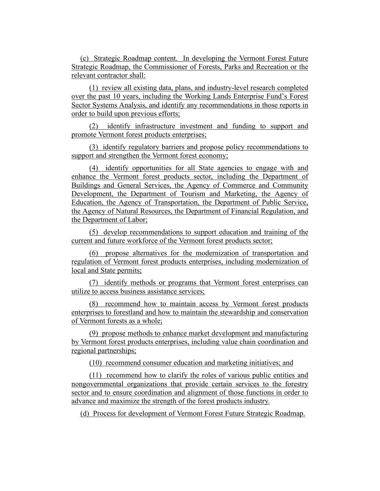(c) Strategic Roadmap content. In developing the Vermont Forest Future Strategic Roadmap, the Commissioner of Forests, Parks and Recreation or the relevant contractor shall:

(1) review all existing data, plans, and industry-level research completed over the past 10 years, including the Working Lands Enterprise Fund's Forest Sector Systems Analysis, and identify any recommendations in those reports in order to build upon previous efforts;

(2) identify infrastructure investment and funding to support and promote Vermont forest products enterprises;

(3) identify regulatory barriers and propose policy recommendations to support and strengthen the Vermont forest economy;

(4) identify opportunities for all State agencies to engage with and enhance the Vermont forest products sector, including the Department of Buildings and General Services, the Agency of Commerce and Community Development, the Department of Tourism and Marketing, the Agency of Education, the Agency of Transportation, the Department of Public Service, the Agency of Natural Resources, the Department of Financial Regulation, and the Department of Labor;

(5) develop recommendations to support education and training of the current and future workforce of the Vermont forest products sector;

(6) propose alternatives for the modernization of transportation and regulation of Vermont forest products enterprises, including modernization of local and State permits;

(7) identify methods or programs that Vermont forest enterprises can utilize to access business assistance services;

(8) recommend how to maintain access by Vermont forest products enterprises to forestland and how to maintain the stewardship and conservation of Vermont forests as a whole;

(9) propose methods to enhance market development and manufacturing by Vermont forest products enterprises, including value chain coordination and regional partnerships;

(10) recommend consumer education and marketing initiatives; and

(11) recommend how to clarify the roles of various public entities and nongovernmental organizations that provide certain services to the forestry sector and to ensure coordination and alignment of those functions in order to advance and maximize the strength of the forest products industry.

(d) Process for development of Vermont Forest Future Strategic Roadmap.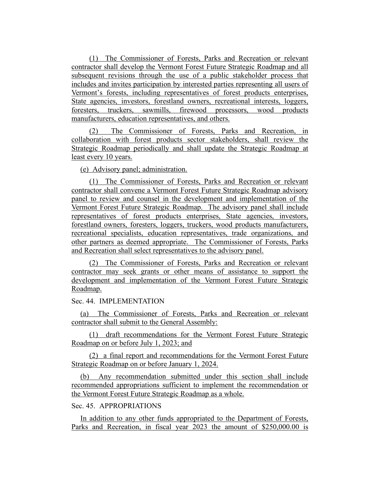(1) The Commissioner of Forests, Parks and Recreation or relevant contractor shall develop the Vermont Forest Future Strategic Roadmap and all subsequent revisions through the use of a public stakeholder process that includes and invites participation by interested parties representing all users of Vermont's forests, including representatives of forest products enterprises, State agencies, investors, forestland owners, recreational interests, loggers, foresters, truckers, sawmills, firewood processors, wood products manufacturers, education representatives, and others.

(2) The Commissioner of Forests, Parks and Recreation, in collaboration with forest products sector stakeholders, shall review the Strategic Roadmap periodically and shall update the Strategic Roadmap at least every 10 years.

(e) Advisory panel; administration.

(1) The Commissioner of Forests, Parks and Recreation or relevant contractor shall convene a Vermont Forest Future Strategic Roadmap advisory panel to review and counsel in the development and implementation of the Vermont Forest Future Strategic Roadmap. The advisory panel shall include representatives of forest products enterprises, State agencies, investors, forestland owners, foresters, loggers, truckers, wood products manufacturers, recreational specialists, education representatives, trade organizations, and other partners as deemed appropriate. The Commissioner of Forests, Parks and Recreation shall select representatives to the advisory panel.

(2) The Commissioner of Forests, Parks and Recreation or relevant contractor may seek grants or other means of assistance to support the development and implementation of the Vermont Forest Future Strategic Roadmap.

#### Sec. 44. IMPLEMENTATION

(a) The Commissioner of Forests, Parks and Recreation or relevant contractor shall submit to the General Assembly:

(1) draft recommendations for the Vermont Forest Future Strategic Roadmap on or before July 1, 2023; and

(2) a final report and recommendations for the Vermont Forest Future Strategic Roadmap on or before January 1, 2024.

(b) Any recommendation submitted under this section shall include recommended appropriations sufficient to implement the recommendation or the Vermont Forest Future Strategic Roadmap as a whole.

# Sec. 45. APPROPRIATIONS

In addition to any other funds appropriated to the Department of Forests, Parks and Recreation, in fiscal year 2023 the amount of \$250,000.00 is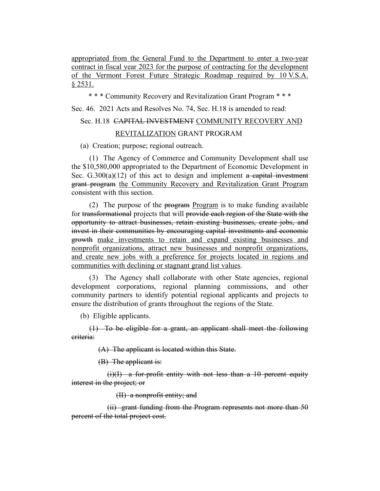appropriated from the General Fund to the Department to enter a two-year contract in fiscal year 2023 for the purpose of contracting for the development of the Vermont Forest Future Strategic Roadmap required by 10 V.S.A. § 2531.

\* \* \* Community Recovery and Revitalization Grant Program \* \* \*

Sec. 46. 2021 Acts and Resolves No. 74, Sec. H.18 is amended to read:

# Sec. H.18 CAPITAL INVESTMENT COMMUNITY RECOVERY AND

# REVITALIZATION GRANT PROGRAM

(a) Creation; purpose; regional outreach.

(1) The Agency of Commerce and Community Development shall use the \$10,580,000 appropriated to the Department of Economic Development in Sec.  $G.300(a)(12)$  of this act to design and implement a capital investment grant program the Community Recovery and Revitalization Grant Program consistent with this section.

(2) The purpose of the  $\frac{1}{2}$  program is to make funding available for transformational projects that will provide each region of the State with the opportunity to attract businesses, retain existing businesses, create jobs, and invest in their communities by encouraging capital investments and economic growth make investments to retain and expand existing businesses and nonprofit organizations, attract new businesses and nonprofit organizations, and create new jobs with a preference for projects located in regions and communities with declining or stagnant grand list values.

(3) The Agency shall collaborate with other State agencies, regional development corporations, regional planning commissions, and other community partners to identify potential regional applicants and projects to ensure the distribution of grants throughout the regions of the State.

(b) Eligible applicants.

(1) To be eligible for a grant, an applicant shall meet the following criteria:

(A) The applicant is located within this State.

(B) The applicant is:

 $(i)(I)$  a for-profit entity with not less than a 10 percent equity interest in the project; or

(II) a nonprofit entity; and

(ii) grant funding from the Program represents not more than 50 percent of the total project cost.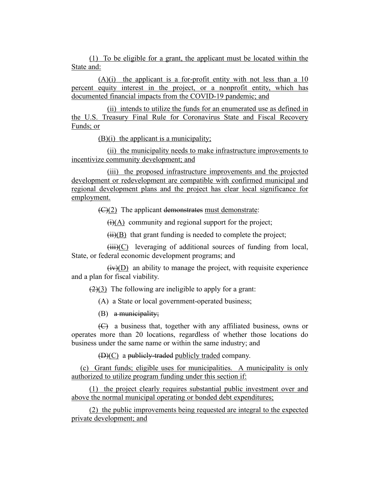(1) To be eligible for a grant, the applicant must be located within the State and:

 $(A)(i)$  the applicant is a for-profit entity with not less than a 10 percent equity interest in the project, or a nonprofit entity, which has documented financial impacts from the COVID-19 pandemic; and

(ii) intends to utilize the funds for an enumerated use as defined in the U.S. Treasury Final Rule for Coronavirus State and Fiscal Recovery Funds; or

(B)(i) the applicant is a municipality;

(ii) the municipality needs to make infrastructure improvements to incentivize community development; and

(iii) the proposed infrastructure improvements and the projected development or redevelopment are compatible with confirmed municipal and regional development plans and the project has clear local significance for employment.

 $\left(\frac{C}{2}\right)$  The applicant demonstrates must demonstrate:

 $\overline{(i)}$ (A) community and regional support for the project;

 $(ii)(B)$  that grant funding is needed to complete the project;

 $(iii)(C)$  leveraging of additional sources of funding from local, State, or federal economic development programs; and

 $(iv)(D)$  an ability to manage the project, with requisite experience and a plan for fiscal viability.

 $(2)(3)$  The following are ineligible to apply for a grant:

(A) a State or local government-operated business;

(B) a municipality;

(C) a business that, together with any affiliated business, owns or operates more than 20 locations, regardless of whether those locations do business under the same name or within the same industry; and

(D)(C) a publicly-traded publicly traded company.

(c) Grant funds; eligible uses for municipalities. A municipality is only authorized to utilize program funding under this section if:

(1) the project clearly requires substantial public investment over and above the normal municipal operating or bonded debt expenditures;

(2) the public improvements being requested are integral to the expected private development; and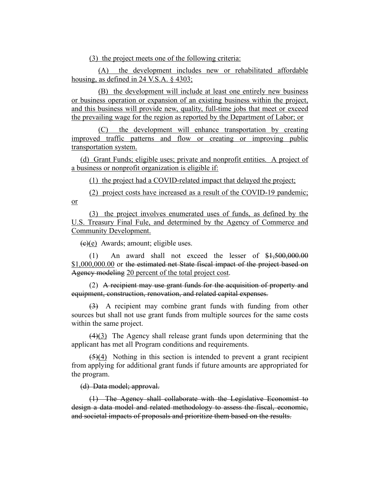(3) the project meets one of the following criteria:

(A) the development includes new or rehabilitated affordable housing, as defined in 24 V.S.A. § 4303;

(B) the development will include at least one entirely new business or business operation or expansion of an existing business within the project, and this business will provide new, quality, full-time jobs that meet or exceed the prevailing wage for the region as reported by the Department of Labor; or

(C) the development will enhance transportation by creating improved traffic patterns and flow or creating or improving public transportation system.

(d) Grant Funds; eligible uses; private and nonprofit entities. A project of a business or nonprofit organization is eligible if:

(1) the project had a COVID-related impact that delayed the project;

(2) project costs have increased as a result of the COVID-19 pandemic; or

(3) the project involves enumerated uses of funds, as defined by the U.S. Treasury Final Fule, and determined by the Agency of Commerce and Community Development.

 $(e)(e)$  Awards; amount; eligible uses.

(1) An award shall not exceed the lesser of \$1,500,000.00 \$1,000,000.00 or the estimated net State fiscal impact of the project based on Agency modeling 20 percent of the total project cost.

(2) A recipient may use grant funds for the acquisition of property and equipment, construction, renovation, and related capital expenses.

(3) A recipient may combine grant funds with funding from other sources but shall not use grant funds from multiple sources for the same costs within the same project.

(4)(3) The Agency shall release grant funds upon determining that the applicant has met all Program conditions and requirements.

 $(5)(4)$  Nothing in this section is intended to prevent a grant recipient from applying for additional grant funds if future amounts are appropriated for the program.

(d) Data model; approval.

(1) The Agency shall collaborate with the Legislative Economist to design a data model and related methodology to assess the fiscal, economic, and societal impacts of proposals and prioritize them based on the results.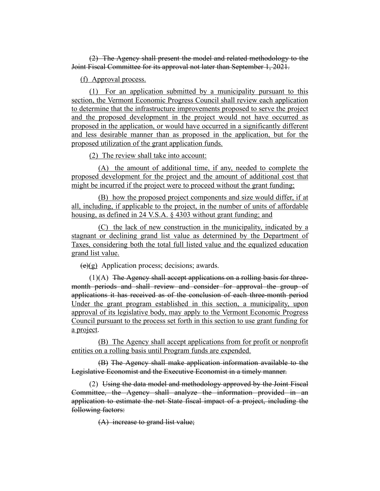(2) The Agency shall present the model and related methodology to the Joint Fiscal Committee for its approval not later than September 1, 2021.

(f) Approval process.

(1) For an application submitted by a municipality pursuant to this section, the Vermont Economic Progress Council shall review each application to determine that the infrastructure improvements proposed to serve the project and the proposed development in the project would not have occurred as proposed in the application, or would have occurred in a significantly different and less desirable manner than as proposed in the application, but for the proposed utilization of the grant application funds.

(2) The review shall take into account:

(A) the amount of additional time, if any, needed to complete the proposed development for the project and the amount of additional cost that might be incurred if the project were to proceed without the grant funding;

(B) how the proposed project components and size would differ, if at all, including, if applicable to the project, in the number of units of affordable housing, as defined in 24 V.S.A. § 4303 without grant funding; and

(C) the lack of new construction in the municipality, indicated by a stagnant or declining grand list value as determined by the Department of Taxes, considering both the total full listed value and the equalized education grand list value.

 $(e)(g)$  Application process; decisions; awards.

 $(1)(A)$  The Agency shall accept applications on a rolling basis for threemonth periods and shall review and consider for approval the group of applications it has received as of the conclusion of each three-month period Under the grant program established in this section, a municipality, upon approval of its legislative body, may apply to the Vermont Economic Progress Council pursuant to the process set forth in this section to use grant funding for a project.

(B) The Agency shall accept applications from for profit or nonprofit entities on a rolling basis until Program funds are expended.

(B) The Agency shall make application information available to the Legislative Economist and the Executive Economist in a timely manner.

(2) Using the data model and methodology approved by the Joint Fiscal Committee, the Agency shall analyze the information provided in an application to estimate the net State fiscal impact of a project, including the following factors:

(A) increase to grand list value;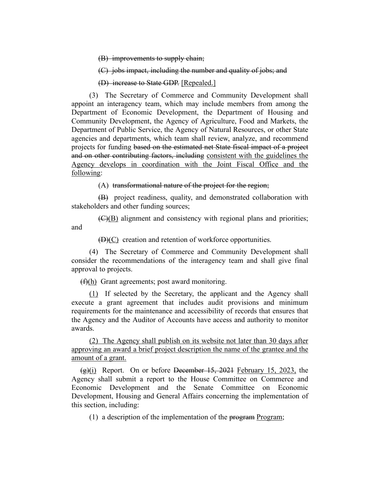(B) improvements to supply chain;

(C) jobs impact, including the number and quality of jobs; and

(D) increase to State GDP. [Repealed.]

(3) The Secretary of Commerce and Community Development shall appoint an interagency team, which may include members from among the Department of Economic Development, the Department of Housing and Community Development, the Agency of Agriculture, Food and Markets, the Department of Public Service, the Agency of Natural Resources, or other State agencies and departments, which team shall review, analyze, and recommend projects for funding based on the estimated net State fiscal impact of a project and on other contributing factors, including consistent with the guidelines the Agency develops in coordination with the Joint Fiscal Office and the following:

(A) transformational nature of the project for the region;

(B) project readiness, quality, and demonstrated collaboration with stakeholders and other funding sources;

(C)(B) alignment and consistency with regional plans and priorities; and

(D)(C) creation and retention of workforce opportunities.

(4) The Secretary of Commerce and Community Development shall consider the recommendations of the interagency team and shall give final approval to projects.

 $(f)(h)$  Grant agreements; post award monitoring.

(1) If selected by the Secretary, the applicant and the Agency shall execute a grant agreement that includes audit provisions and minimum requirements for the maintenance and accessibility of records that ensures that the Agency and the Auditor of Accounts have access and authority to monitor awards.

(2) The Agency shall publish on its website not later than 30 days after approving an award a brief project description the name of the grantee and the amount of a grant.

 $(g)(i)$  Report. On or before December 15, 2021 February 15, 2023, the Agency shall submit a report to the House Committee on Commerce and Economic Development and the Senate Committee on Economic Development, Housing and General Affairs concerning the implementation of this section, including:

(1) a description of the implementation of the  $\frac{1}{2}$  program;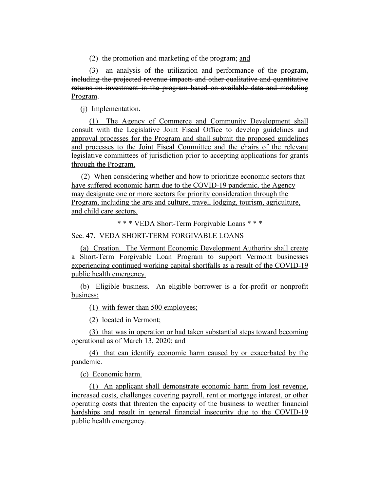(2) the promotion and marketing of the program; and

(3) an analysis of the utilization and performance of the program, including the projected revenue impacts and other qualitative and quantitative returns on investment in the program based on available data and modeling Program.

(j) Implementation.

(1) The Agency of Commerce and Community Development shall consult with the Legislative Joint Fiscal Office to develop guidelines and approval processes for the Program and shall submit the proposed guidelines and processes to the Joint Fiscal Committee and the chairs of the relevant legislative committees of jurisdiction prior to accepting applications for grants through the Program.

(2) When considering whether and how to prioritize economic sectors that have suffered economic harm due to the COVID-19 pandemic, the Agency may designate one or more sectors for priority consideration through the Program, including the arts and culture, travel, lodging, tourism, agriculture, and child care sectors.

\* \* \* VEDA Short-Term Forgivable Loans \* \* \*

Sec. 47. VEDA SHORT-TERM FORGIVABLE LOANS

(a) Creation. The Vermont Economic Development Authority shall create a Short-Term Forgivable Loan Program to support Vermont businesses experiencing continued working capital shortfalls as a result of the COVID-19 public health emergency.

(b) Eligible business. An eligible borrower is a for-profit or nonprofit business:

(1) with fewer than 500 employees;

(2) located in Vermont;

(3) that was in operation or had taken substantial steps toward becoming operational as of March 13, 2020; and

(4) that can identify economic harm caused by or exacerbated by the pandemic.

(c) Economic harm.

(1) An applicant shall demonstrate economic harm from lost revenue, increased costs, challenges covering payroll, rent or mortgage interest, or other operating costs that threaten the capacity of the business to weather financial hardships and result in general financial insecurity due to the COVID-19 public health emergency.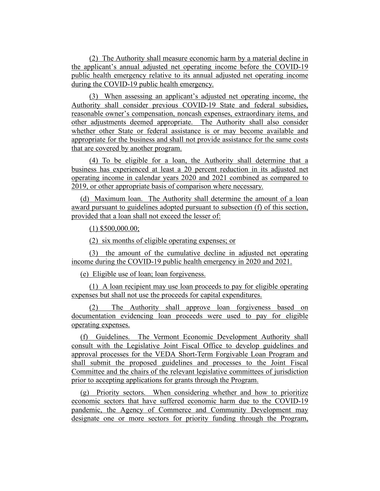(2) The Authority shall measure economic harm by a material decline in the applicant's annual adjusted net operating income before the COVID-19 public health emergency relative to its annual adjusted net operating income during the COVID-19 public health emergency.

(3) When assessing an applicant's adjusted net operating income, the Authority shall consider previous COVID-19 State and federal subsidies, reasonable owner's compensation, noncash expenses, extraordinary items, and other adjustments deemed appropriate. The Authority shall also consider whether other State or federal assistance is or may become available and appropriate for the business and shall not provide assistance for the same costs that are covered by another program.

(4) To be eligible for a loan, the Authority shall determine that a business has experienced at least a 20 percent reduction in its adjusted net operating income in calendar years 2020 and 2021 combined as compared to 2019, or other appropriate basis of comparison where necessary.

(d) Maximum loan. The Authority shall determine the amount of a loan award pursuant to guidelines adopted pursuant to subsection (f) of this section, provided that a loan shall not exceed the lesser of:

(1) \$500,000.00;

(2) six months of eligible operating expenses; or

(3) the amount of the cumulative decline in adjusted net operating income during the COVID-19 public health emergency in 2020 and 2021.

(e) Eligible use of loan; loan forgiveness.

(1) A loan recipient may use loan proceeds to pay for eligible operating expenses but shall not use the proceeds for capital expenditures.

(2) The Authority shall approve loan forgiveness based on documentation evidencing loan proceeds were used to pay for eligible operating expenses.

(f) Guidelines. The Vermont Economic Development Authority shall consult with the Legislative Joint Fiscal Office to develop guidelines and approval processes for the VEDA Short-Term Forgivable Loan Program and shall submit the proposed guidelines and processes to the Joint Fiscal Committee and the chairs of the relevant legislative committees of jurisdiction prior to accepting applications for grants through the Program.

(g) Priority sectors. When considering whether and how to prioritize economic sectors that have suffered economic harm due to the COVID-19 pandemic, the Agency of Commerce and Community Development may designate one or more sectors for priority funding through the Program,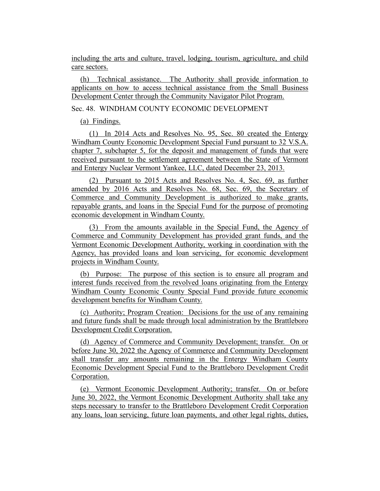including the arts and culture, travel, lodging, tourism, agriculture, and child care sectors.

(h) Technical assistance. The Authority shall provide information to applicants on how to access technical assistance from the Small Business Development Center through the Community Navigator Pilot Program.

# Sec. 48. WINDHAM COUNTY ECONOMIC DEVELOPMENT

# (a) Findings.

(1) In 2014 Acts and Resolves No. 95, Sec. 80 created the Entergy Windham County Economic Development Special Fund pursuant to 32 V.S.A. chapter 7, subchapter 5, for the deposit and management of funds that were received pursuant to the settlement agreement between the State of Vermont and Entergy Nuclear Vermont Yankee, LLC, dated December 23, 2013.

(2) Pursuant to 2015 Acts and Resolves No. 4, Sec. 69, as further amended by 2016 Acts and Resolves No. 68, Sec. 69, the Secretary of Commerce and Community Development is authorized to make grants, repayable grants, and loans in the Special Fund for the purpose of promoting economic development in Windham County.

(3) From the amounts available in the Special Fund, the Agency of Commerce and Community Development has provided grant funds, and the Vermont Economic Development Authority, working in coordination with the Agency, has provided loans and loan servicing, for economic development projects in Windham County.

(b) Purpose: The purpose of this section is to ensure all program and interest funds received from the revolved loans originating from the Entergy Windham County Economic County Special Fund provide future economic development benefits for Windham County.

(c) Authority; Program Creation: Decisions for the use of any remaining and future funds shall be made through local administration by the Brattleboro Development Credit Corporation.

(d) Agency of Commerce and Community Development; transfer. On or before June 30, 2022 the Agency of Commerce and Community Development shall transfer any amounts remaining in the Entergy Windham County Economic Development Special Fund to the Brattleboro Development Credit Corporation.

(e) Vermont Economic Development Authority; transfer. On or before June 30, 2022, the Vermont Economic Development Authority shall take any steps necessary to transfer to the Brattleboro Development Credit Corporation any loans, loan servicing, future loan payments, and other legal rights, duties,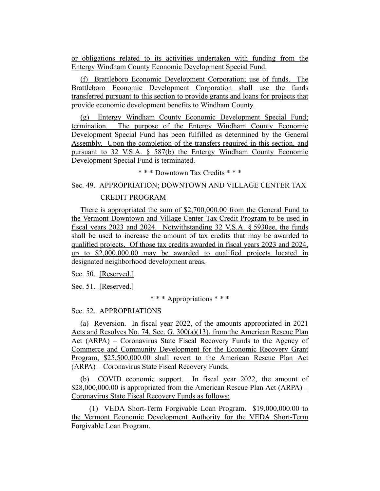or obligations related to its activities undertaken with funding from the Entergy Windham County Economic Development Special Fund.

(f) Brattleboro Economic Development Corporation; use of funds. The Brattleboro Economic Development Corporation shall use the funds transferred pursuant to this section to provide grants and loans for projects that provide economic development benefits to Windham County.

(g) Entergy Windham County Economic Development Special Fund; termination. The purpose of the Entergy Windham County Economic Development Special Fund has been fulfilled as determined by the General Assembly. Upon the completion of the transfers required in this section, and pursuant to 32 V.S.A. § 587(b) the Entergy Windham County Economic Development Special Fund is terminated.

\* \* \* Downtown Tax Credits \* \* \*

#### Sec. 49. APPROPRIATION; DOWNTOWN AND VILLAGE CENTER TAX

#### CREDIT PROGRAM

There is appropriated the sum of \$2,700,000.00 from the General Fund to the Vermont Downtown and Village Center Tax Credit Program to be used in fiscal years 2023 and 2024. Notwithstanding 32 V.S.A. § 5930ee, the funds shall be used to increase the amount of tax credits that may be awarded to qualified projects. Of those tax credits awarded in fiscal years 2023 and 2024, up to \$2,000,000.00 may be awarded to qualified projects located in designated neighborhood development areas.

Sec. 50. [Reserved.]

Sec. 51. [Reserved.]

#### \* \* \* Appropriations \* \* \*

#### Sec. 52. APPROPRIATIONS

(a) Reversion. In fiscal year 2022, of the amounts appropriated in 2021 Acts and Resolves No. 74, Sec. G. 300(a)(13), from the American Rescue Plan Act (ARPA) – Coronavirus State Fiscal Recovery Funds to the Agency of Commerce and Community Development for the Economic Recovery Grant Program, \$25,500,000.00 shall revert to the American Rescue Plan Act (ARPA) – Coronavirus State Fiscal Recovery Funds.

(b) COVID economic support. In fiscal year 2022, the amount of \$28,000,000.00 is appropriated from the American Rescue Plan Act (ARPA) – Coronavirus State Fiscal Recovery Funds as follows:

(1) VEDA Short-Term Forgivable Loan Program. \$19,000,000.00 to the Vermont Economic Development Authority for the VEDA Short-Term Forgivable Loan Program.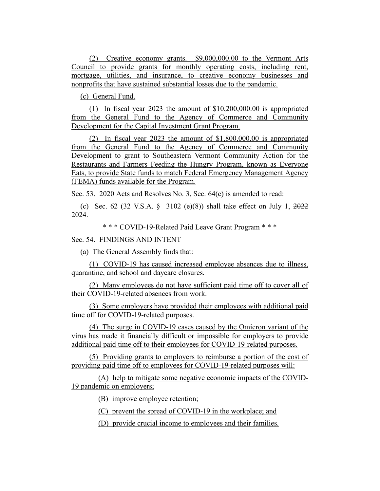(2) Creative economy grants. \$9,000,000.00 to the Vermont Arts Council to provide grants for monthly operating costs, including rent, mortgage, utilities, and insurance, to creative economy businesses and nonprofits that have sustained substantial losses due to the pandemic.

(c) General Fund.

(1) In fiscal year 2023 the amount of \$10,200,000.00 is appropriated from the General Fund to the Agency of Commerce and Community Development for the Capital Investment Grant Program.

(2) In fiscal year 2023 the amount of \$1,800,000.00 is appropriated from the General Fund to the Agency of Commerce and Community Development to grant to Southeastern Vermont Community Action for the Restaurants and Farmers Feeding the Hungry Program, known as Everyone Eats, to provide State funds to match Federal Emergency Management Agency (FEMA) funds available for the Program.

Sec. 53. 2020 Acts and Resolves No. 3, Sec. 64(c) is amended to read:

(c) Sec. 62 (32 V.S.A. § 3102 (e)(8)) shall take effect on July 1, 2022 2024.

\* \* \* COVID-19-Related Paid Leave Grant Program \* \* \*

## Sec. 54. FINDINGS AND INTENT

(a) The General Assembly finds that:

(1) COVID-19 has caused increased employee absences due to illness, quarantine, and school and daycare closures.

(2) Many employees do not have sufficient paid time off to cover all of their COVID-19-related absences from work.

(3) Some employers have provided their employees with additional paid time off for COVID-19-related purposes.

(4) The surge in COVID-19 cases caused by the Omicron variant of the virus has made it financially difficult or impossible for employers to provide additional paid time off to their employees for COVID-19-related purposes.

(5) Providing grants to employers to reimburse a portion of the cost of providing paid time off to employees for COVID-19-related purposes will:

(A) help to mitigate some negative economic impacts of the COVID-19 pandemic on employers;

(B) improve employee retention;

(C) prevent the spread of COVID-19 in the workplace; and

(D) provide crucial income to employees and their families.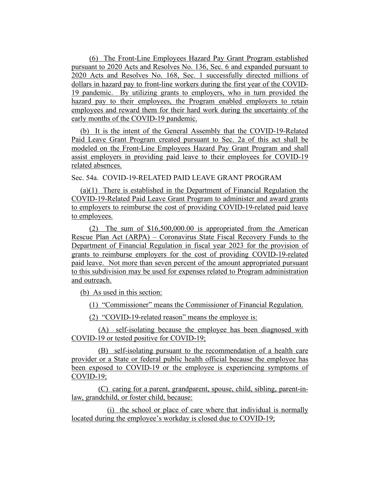(6) The Front-Line Employees Hazard Pay Grant Program established pursuant to 2020 Acts and Resolves No. 136, Sec. 6 and expanded pursuant to 2020 Acts and Resolves No. 168, Sec. 1 successfully directed millions of dollars in hazard pay to front-line workers during the first year of the COVID-19 pandemic. By utilizing grants to employers, who in turn provided the hazard pay to their employees, the Program enabled employers to retain employees and reward them for their hard work during the uncertainty of the early months of the COVID-19 pandemic.

(b) It is the intent of the General Assembly that the COVID-19-Related Paid Leave Grant Program created pursuant to Sec. 2a of this act shall be modeled on the Front-Line Employees Hazard Pay Grant Program and shall assist employers in providing paid leave to their employees for COVID-19 related absences.

Sec. 54a. COVID-19-RELATED PAID LEAVE GRANT PROGRAM

(a)(1) There is established in the Department of Financial Regulation the COVID-19-Related Paid Leave Grant Program to administer and award grants to employers to reimburse the cost of providing COVID-19-related paid leave to employees.

(2) The sum of \$16,500,000.00 is appropriated from the American Rescue Plan Act (ARPA) – Coronavirus State Fiscal Recovery Funds to the Department of Financial Regulation in fiscal year 2023 for the provision of grants to reimburse employers for the cost of providing COVID-19-related paid leave. Not more than seven percent of the amount appropriated pursuant to this subdivision may be used for expenses related to Program administration and outreach.

(b) As used in this section:

(1) "Commissioner" means the Commissioner of Financial Regulation.

(2) "COVID-19-related reason" means the employee is:

(A) self-isolating because the employee has been diagnosed with COVID-19 or tested positive for COVID-19;

(B) self-isolating pursuant to the recommendation of a health care provider or a State or federal public health official because the employee has been exposed to COVID-19 or the employee is experiencing symptoms of COVID-19;

(C) caring for a parent, grandparent, spouse, child, sibling, parent-inlaw, grandchild, or foster child, because:

(i) the school or place of care where that individual is normally located during the employee's workday is closed due to COVID-19;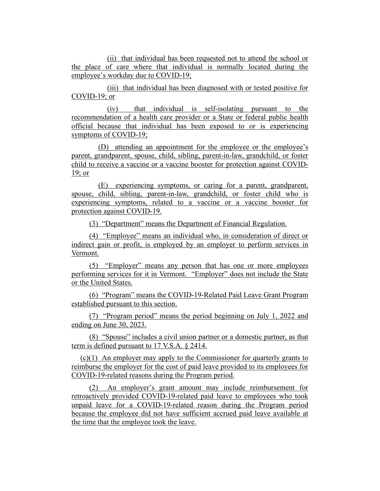(ii) that individual has been requested not to attend the school or the place of care where that individual is normally located during the employee's workday due to COVID-19;

(iii) that individual has been diagnosed with or tested positive for COVID-19; or

(iv) that individual is self-isolating pursuant to the recommendation of a health care provider or a State or federal public health official because that individual has been exposed to or is experiencing symptoms of COVID-19;

(D) attending an appointment for the employee or the employee's parent, grandparent, spouse, child, sibling, parent-in-law, grandchild, or foster child to receive a vaccine or a vaccine booster for protection against COVID-19; or

(E) experiencing symptoms, or caring for a parent, grandparent, spouse, child, sibling, parent-in-law, grandchild, or foster child who is experiencing symptoms, related to a vaccine or a vaccine booster for protection against COVID-19.

(3) "Department" means the Department of Financial Regulation.

(4) "Employee" means an individual who, in consideration of direct or indirect gain or profit, is employed by an employer to perform services in Vermont.

(5) "Employer" means any person that has one or more employees performing services for it in Vermont. "Employer" does not include the State or the United States.

(6) "Program" means the COVID-19-Related Paid Leave Grant Program established pursuant to this section.

(7) "Program period" means the period beginning on July 1, 2022 and ending on June 30, 2023.

(8) "Spouse" includes a civil union partner or a domestic partner, as that term is defined pursuant to 17 V.S.A. § 2414.

(c)(1) An employer may apply to the Commissioner for quarterly grants to reimburse the employer for the cost of paid leave provided to its employees for COVID-19-related reasons during the Program period.

(2) An employer's grant amount may include reimbursement for retroactively provided COVID-19-related paid leave to employees who took unpaid leave for a COVID-19-related reason during the Program period because the employee did not have sufficient accrued paid leave available at the time that the employee took the leave.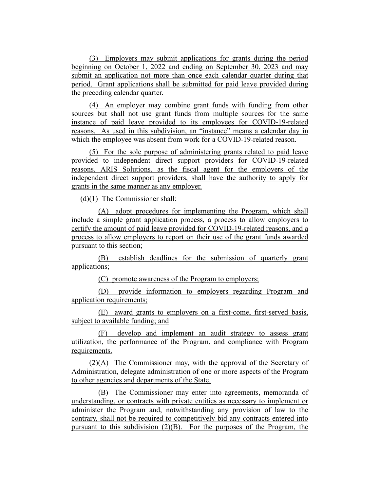(3) Employers may submit applications for grants during the period beginning on October 1, 2022 and ending on September 30, 2023 and may submit an application not more than once each calendar quarter during that period. Grant applications shall be submitted for paid leave provided during the preceding calendar quarter.

(4) An employer may combine grant funds with funding from other sources but shall not use grant funds from multiple sources for the same instance of paid leave provided to its employees for COVID-19-related reasons. As used in this subdivision, an "instance" means a calendar day in which the employee was absent from work for a COVID-19-related reason.

(5) For the sole purpose of administering grants related to paid leave provided to independent direct support providers for COVID-19-related reasons, ARIS Solutions, as the fiscal agent for the employers of the independent direct support providers, shall have the authority to apply for grants in the same manner as any employer.

(d)(1) The Commissioner shall:

(A) adopt procedures for implementing the Program, which shall include a simple grant application process, a process to allow employers to certify the amount of paid leave provided for COVID-19-related reasons, and a process to allow employers to report on their use of the grant funds awarded pursuant to this section;

(B) establish deadlines for the submission of quarterly grant applications;

(C) promote awareness of the Program to employers;

(D) provide information to employers regarding Program and application requirements;

(E) award grants to employers on a first-come, first-served basis, subject to available funding; and

(F) develop and implement an audit strategy to assess grant utilization, the performance of the Program, and compliance with Program requirements.

(2)(A) The Commissioner may, with the approval of the Secretary of Administration, delegate administration of one or more aspects of the Program to other agencies and departments of the State.

(B) The Commissioner may enter into agreements, memoranda of understanding, or contracts with private entities as necessary to implement or administer the Program and, notwithstanding any provision of law to the contrary, shall not be required to competitively bid any contracts entered into pursuant to this subdivision (2)(B). For the purposes of the Program, the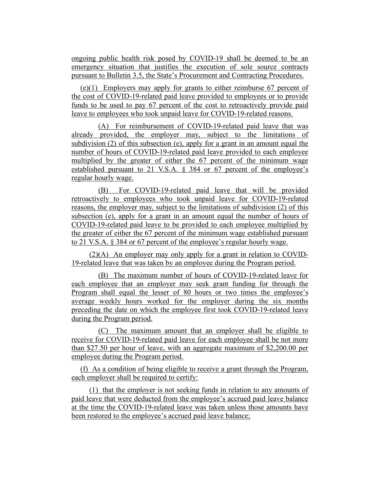ongoing public health risk posed by COVID-19 shall be deemed to be an emergency situation that justifies the execution of sole source contracts pursuant to Bulletin 3.5, the State's Procurement and Contracting Procedures.

(e)(1) Employers may apply for grants to either reimburse 67 percent of the cost of COVID-19-related paid leave provided to employees or to provide funds to be used to pay 67 percent of the cost to retroactively provide paid leave to employees who took unpaid leave for COVID-19-related reasons.

(A) For reimbursement of COVID-19-related paid leave that was already provided, the employer may, subject to the limitations of subdivision (2) of this subsection (e), apply for a grant in an amount equal the number of hours of COVID-19-related paid leave provided to each employee multiplied by the greater of either the 67 percent of the minimum wage established pursuant to 21 V.S.A. § 384 or 67 percent of the employee's regular hourly wage.

(B) For COVID-19-related paid leave that will be provided retroactively to employees who took unpaid leave for COVID-19-related reasons, the employer may, subject to the limitations of subdivision (2) of this subsection (e), apply for a grant in an amount equal the number of hours of COVID-19-related paid leave to be provided to each employee multiplied by the greater of either the 67 percent of the minimum wage established pursuant to 21 V.S.A. § 384 or 67 percent of the employee's regular hourly wage.

(2)(A) An employer may only apply for a grant in relation to COVID-19-related leave that was taken by an employee during the Program period.

(B) The maximum number of hours of COVID-19-related leave for each employee that an employer may seek grant funding for through the Program shall equal the lesser of 80 hours or two times the employee's average weekly hours worked for the employer during the six months preceding the date on which the employee first took COVID-19-related leave during the Program period.

(C) The maximum amount that an employer shall be eligible to receive for COVID-19-related paid leave for each employee shall be not more than \$27.50 per hour of leave, with an aggregate maximum of \$2,200.00 per employee during the Program period.

(f) As a condition of being eligible to receive a grant through the Program, each employer shall be required to certify:

(1) that the employer is not seeking funds in relation to any amounts of paid leave that were deducted from the employee's accrued paid leave balance at the time the COVID-19-related leave was taken unless those amounts have been restored to the employee's accrued paid leave balance;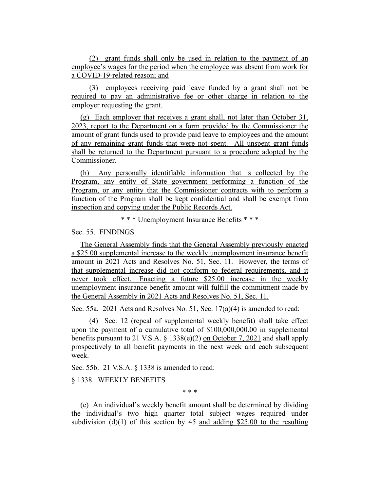(2) grant funds shall only be used in relation to the payment of an employee's wages for the period when the employee was absent from work for a COVID-19-related reason; and

(3) employees receiving paid leave funded by a grant shall not be required to pay an administrative fee or other charge in relation to the employer requesting the grant.

(g) Each employer that receives a grant shall, not later than October 31, 2023, report to the Department on a form provided by the Commissioner the amount of grant funds used to provide paid leave to employees and the amount of any remaining grant funds that were not spent. All unspent grant funds shall be returned to the Department pursuant to a procedure adopted by the Commissioner.

(h) Any personally identifiable information that is collected by the Program, any entity of State government performing a function of the Program, or any entity that the Commissioner contracts with to perform a function of the Program shall be kept confidential and shall be exempt from inspection and copying under the Public Records Act.

\* \* \* Unemployment Insurance Benefits \* \* \*

Sec. 55. FINDINGS

The General Assembly finds that the General Assembly previously enacted a \$25.00 supplemental increase to the weekly unemployment insurance benefit amount in 2021 Acts and Resolves No. 51, Sec. 11. However, the terms of that supplemental increase did not conform to federal requirements, and it never took effect. Enacting a future \$25.00 increase in the weekly unemployment insurance benefit amount will fulfill the commitment made by the General Assembly in 2021 Acts and Resolves No. 51, Sec. 11.

Sec. 55a. 2021 Acts and Resolves No. 51, Sec. 17(a)(4) is amended to read:

(4) Sec. 12 (repeal of supplemental weekly benefit) shall take effect upon the payment of a cumulative total of \$100,000,000.00 in supplemental benefits pursuant to 21 V.S.A. § 1338(e)(2) on October 7, 2021 and shall apply prospectively to all benefit payments in the next week and each subsequent week.

Sec. 55b. 21 V.S.A. § 1338 is amended to read:

§ 1338. WEEKLY BENEFITS

\* \* \*

(e) An individual's weekly benefit amount shall be determined by dividing the individual's two high quarter total subject wages required under subdivision (d)(1) of this section by 45 and adding \$25.00 to the resulting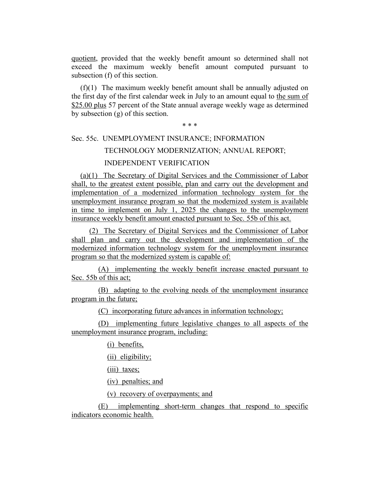quotient, provided that the weekly benefit amount so determined shall not exceed the maximum weekly benefit amount computed pursuant to subsection (f) of this section.

(f)(1) The maximum weekly benefit amount shall be annually adjusted on the first day of the first calendar week in July to an amount equal to the sum of \$25.00 plus 57 percent of the State annual average weekly wage as determined by subsection (g) of this section.

#### \* \* \*

# Sec. 55c. UNEMPLOYMENT INSURANCE; INFORMATION TECHNOLOGY MODERNIZATION; ANNUAL REPORT;

# INDEPENDENT VERIFICATION

(a)(1) The Secretary of Digital Services and the Commissioner of Labor shall, to the greatest extent possible, plan and carry out the development and implementation of a modernized information technology system for the unemployment insurance program so that the modernized system is available in time to implement on July 1, 2025 the changes to the unemployment insurance weekly benefit amount enacted pursuant to Sec. 55b of this act.

(2) The Secretary of Digital Services and the Commissioner of Labor shall plan and carry out the development and implementation of the modernized information technology system for the unemployment insurance program so that the modernized system is capable of:

(A) implementing the weekly benefit increase enacted pursuant to Sec. 55b of this act;

(B) adapting to the evolving needs of the unemployment insurance program in the future;

(C) incorporating future advances in information technology;

(D) implementing future legislative changes to all aspects of the unemployment insurance program, including:

(i) benefits,

(ii) eligibility;

(iii) taxes;

(iv) penalties; and

(v) recovery of overpayments; and

(E) implementing short-term changes that respond to specific indicators economic health.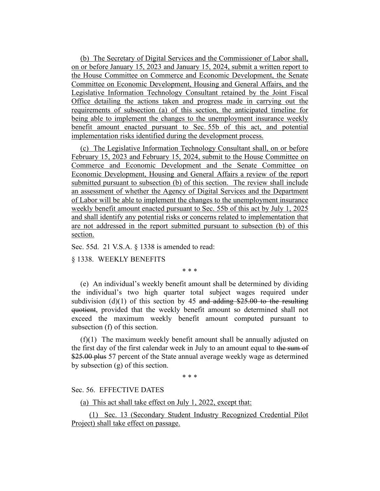(b) The Secretary of Digital Services and the Commissioner of Labor shall, on or before January 15, 2023 and January 15, 2024, submit a written report to the House Committee on Commerce and Economic Development, the Senate Committee on Economic Development, Housing and General Affairs, and the Legislative Information Technology Consultant retained by the Joint Fiscal Office detailing the actions taken and progress made in carrying out the requirements of subsection (a) of this section, the anticipated timeline for being able to implement the changes to the unemployment insurance weekly benefit amount enacted pursuant to Sec. 55b of this act, and potential implementation risks identified during the development process.

(c) The Legislative Information Technology Consultant shall, on or before February 15, 2023 and February 15, 2024, submit to the House Committee on Commerce and Economic Development and the Senate Committee on Economic Development, Housing and General Affairs a review of the report submitted pursuant to subsection (b) of this section. The review shall include an assessment of whether the Agency of Digital Services and the Department of Labor will be able to implement the changes to the unemployment insurance weekly benefit amount enacted pursuant to Sec. 55b of this act by July 1, 2025 and shall identify any potential risks or concerns related to implementation that are not addressed in the report submitted pursuant to subsection (b) of this section.

Sec. 55d. 21 V.S.A. § 1338 is amended to read:

§ 1338. WEEKLY BENEFITS

\* \* \*

(e) An individual's weekly benefit amount shall be determined by dividing the individual's two high quarter total subject wages required under subdivision (d)(1) of this section by 45 and adding  $$25.00$  to the resulting quotient, provided that the weekly benefit amount so determined shall not exceed the maximum weekly benefit amount computed pursuant to subsection (f) of this section.

(f)(1) The maximum weekly benefit amount shall be annually adjusted on the first day of the first calendar week in July to an amount equal to the sum of \$25.00 plus 57 percent of the State annual average weekly wage as determined by subsection (g) of this section.

\* \* \*

#### Sec. 56. EFFECTIVE DATES

(a) This act shall take effect on July 1, 2022, except that:

(1) Sec. 13 (Secondary Student Industry Recognized Credential Pilot Project) shall take effect on passage.